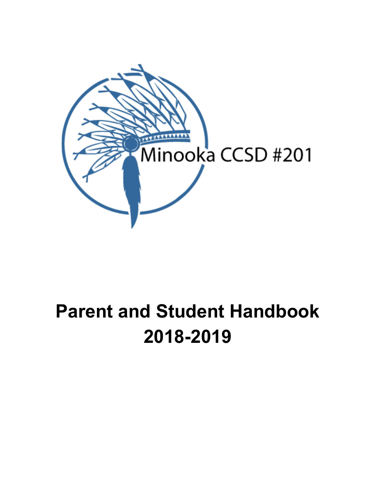

# **Parent and Student Handbook 2018-2019**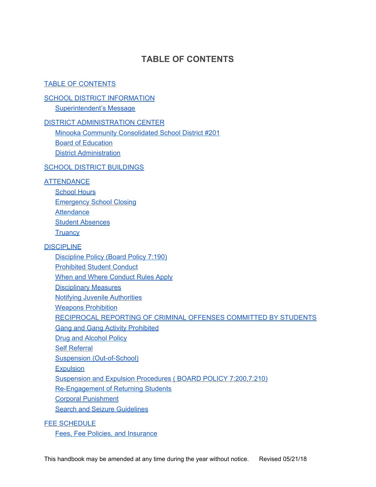# **TABLE OF CONTENTS**

#### <span id="page-1-0"></span>TABLE OF [CONTENTS](#page-1-0)

#### **SCHOOL DISTRICT [INFORMATION](#page-4-0)**

[Superintendent's](#page-4-1) Message

#### DISTRICT [ADMINISTRATION](#page-5-0) CENTER

Minooka Community Consolidated School District #201 Board of [Education](#page-5-1)

District [Administration](#page-6-0)

#### **SCHOOL DISTRICT [BUILDINGS](#page-7-0)**

#### **[ATTENDANCE](#page-8-0)**

[School](#page-8-1) Hours [Emergency](#page-8-2) School Closing **[Attendance](#page-9-0)** Student [Absences](#page-9-1) **[Truancy](#page-11-0)** 

#### **[DISCIPLINE](#page-12-0)**

[Discipline](#page-12-1) Policy (Board Policy 7:190) [Prohibited](#page-12-2) Student Conduct When and Where [Conduct](#page-15-0) Rules Apply [Disciplinary](#page-15-1) Measures Notifying Juvenile [Authorities](#page-16-0) **Weapons [Prohibition](#page-16-1)** [RECIPROCAL](#page-17-0) REPORTING OF CRIMINAL OFFENSES COMMITTED BY STUDENTS Gang and Gang Activity [Prohibited](#page-17-1) Drug and [Alcohol](#page-18-0) Policy Self [Referral](#page-19-0) Suspension [\(Out-of-School\)](#page-19-1) **[Expulsion](#page-19-2)** Suspension and Expulsion Procedures ( BOARD POLICY [7:200,7:210\)](#page-19-3) [Re-Engagement](#page-20-0) of Returning Students Corporal [Punishment](#page-21-0) Search and Seizure [Guidelines](#page-21-1)

#### FEE [SCHEDULE](#page-22-0)

Fees, Fee Policies, and [Insurance](#page-22-1)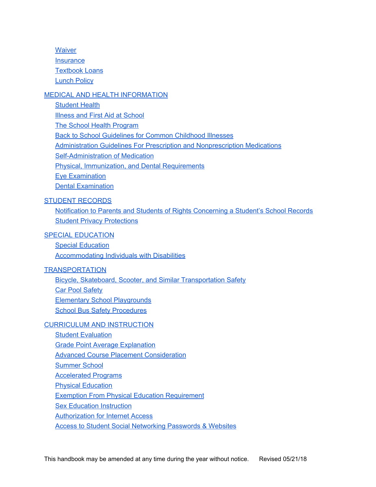**[Waiver](#page-22-2) [Insurance](#page-23-0)** [Textbook](#page-23-1) Loans [Lunch](#page-23-2) Policy

#### MEDICAL AND HEALTH [INFORMATION](#page-23-3)

[Student](#page-23-4) Health Illness and First Aid at [School](#page-24-0) The School Health [Program](#page-24-1) Back to School [Guidelines](#page-25-0) for Common Childhood Illnesses Administration Guidelines For Prescription and [Nonprescription](#page-25-1) Medications [Self-Administration](#page-26-0) of Medication Physical, [Immunization,](#page-27-0) and Dental Requirements Eye [Examination](#page-28-0) Dental [Examination](#page-28-1)

#### STUDENT [RECORDS](#page-29-0)

Notification to Parents and Students of Rights Concerning a Student's School Records Student Privacy [Protections](#page-31-0)

#### SPECIAL [EDUCATION](#page-33-0)

Special [Education](#page-33-1) [Accommodating](#page-33-2) Individuals with Disabilities

#### **[TRANSPORTATION](#page-33-3)**

Bicycle, Skateboard, Scooter, and Similar [Transportation](#page-33-4) Safety Car Pool [Safety](#page-34-0) Elementary School [Playgrounds](#page-34-1) **School Bus Safety [Procedures](#page-34-2)** 

#### CURRICULUM AND [INSTRUCTION](#page-37-0)

**Student [Evaluation](#page-37-1) Grade Point Average [Explanation](#page-37-2)** Advanced Course Placement [Consideration](#page-38-0) [Summer](#page-38-1) School [Accelerated](#page-39-0) Programs **Physical [Education](#page-39-1)** Exemption From Physical Education [Requirement](#page-39-2) Sex Education [Instruction](#page-40-0) [Authorization](#page-40-1) for Internet Access

Access to Student Social [Networking](#page-41-0) Passwords & Websites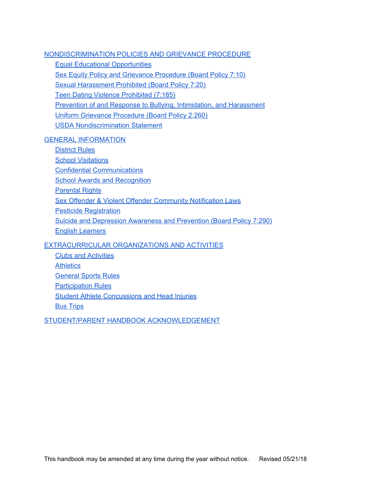[NONDISCRIMINATION](#page-42-0) POLICIES AND GRIEVANCE PROCEDURE

Equal Educational [Opportunities](#page-42-1)

Sex Equity Policy and Grievance [Procedure](#page-42-2) (Board Policy 7:10)

Sexual [Harassment](#page-43-0) Prohibited (Board Policy 7:20)

Teen Dating Violence [Prohibited](#page-43-1) (7:185)

Prevention of and Response to Bullying, [Intimidation,](#page-44-0) and Harassment

Uniform Grievance [Procedure](#page-46-0) (Board Policy 2:260)

USDA [Nondiscrimination](#page-46-1) Statement

#### GENERAL [INFORMATION](#page-47-0)

[District](#page-47-1) Rules School [Visitations](#page-49-0) Confidential [Communications](#page-50-0) School Awards and [Recognition](#page-50-1) [Parental](#page-50-2) Rights Sex Offender & Violent Offender [Community](#page-51-0) Notification Laws Pesticide [Registration](#page-51-1) Suicide and [Depression](#page-51-2) Awareness and Prevention (Board Policy 7:290) English [Learners](#page-51-3)

[EXTRACURRICULAR](#page-52-0) ORGANIZATIONS AND ACTIVITIES

Clubs and [Activities](#page-52-1) **[Athletics](#page-53-0)** [General](#page-55-0) Sports Rules [Participation](#page-55-1) Rules

Student Athlete [Concussions](#page-57-0) and Head Injuries

Bus [Trips](#page-57-1)

STUDENT/PARENT HANDBOOK [ACKNOWLEDGEMENT](#page-58-0)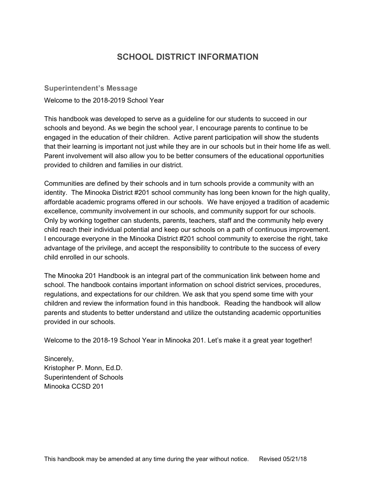# **SCHOOL DISTRICT INFORMATION**

<span id="page-4-1"></span><span id="page-4-0"></span>**Superintendent's Message**

Welcome to the 2018-2019 School Year

This handbook was developed to serve as a guideline for our students to succeed in our schools and beyond. As we begin the school year, I encourage parents to continue to be engaged in the education of their children. Active parent participation will show the students that their learning is important not just while they are in our schools but in their home life as well. Parent involvement will also allow you to be better consumers of the educational opportunities provided to children and families in our district.

Communities are defined by their schools and in turn schools provide a community with an identity. The Minooka District #201 school community has long been known for the high quality, affordable academic programs offered in our schools. We have enjoyed a tradition of academic excellence, community involvement in our schools, and community support for our schools. Only by working together can students, parents, teachers, staff and the community help every child reach their individual potential and keep our schools on a path of continuous improvement. I encourage everyone in the Minooka District #201 school community to exercise the right, take advantage of the privilege, and accept the responsibility to contribute to the success of every child enrolled in our schools.

The Minooka 201 Handbook is an integral part of the communication link between home and school. The handbook contains important information on school district services, procedures, regulations, and expectations for our children. We ask that you spend some time with your children and review the information found in this handbook. Reading the handbook will allow parents and students to better understand and utilize the outstanding academic opportunities provided in our schools.

Welcome to the 2018-19 School Year in Minooka 201. Let's make it a great year together!

Sincerely, Kristopher P. Monn, Ed.D. Superintendent of Schools Minooka CCSD 201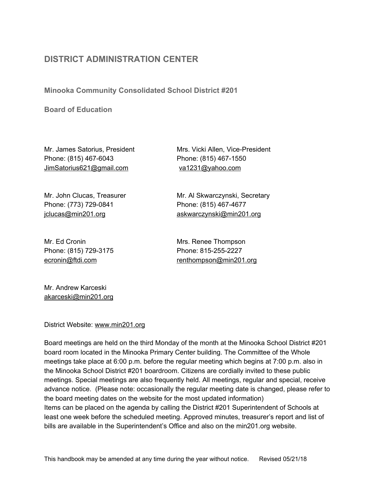# <span id="page-5-0"></span>**DISTRICT ADMINISTRATION CENTER**

<span id="page-5-1"></span>**Minooka Community Consolidated School District #201**

**Board of Education**

Phone: (815) 467-6043 Phone: (815) 467-1550 JimSatorius621@gmail.com va1231@yahoo.com

Phone: (773) 729-0841 Phone: (815) 467-4677

Mr. Ed Cronin **Mrs. Renee Thompson** Phone: (815) 729-3175 Phone: 815-255-2227

Mr. James Satorius, President Mrs. Vicki Allen, Vice-President

Mr. John Clucas, Treasurer Mr. Al Skwarczynski, Secretary jclucas@min201.org askwarczynski@min201.org

[ecronin@ftdi.com](mailto:ecronin@ftdi.com) renthompson@min201.org

Mr. Andrew Karceski akarceski@min201.org

District Website: www.min201.org

Board meetings are held on the third Monday of the month at the Minooka School District #201 board room located in the Minooka Primary Center building. The Committee of the Whole meetings take place at 6:00 p.m. before the regular meeting which begins at 7:00 p.m. also in the Minooka School District #201 boardroom. Citizens are cordially invited to these public meetings. Special meetings are also frequently held. All meetings, regular and special, receive advance notice. (Please note: occasionally the regular meeting date is changed, please refer to the board meeting dates on the website for the most updated information) Items can be placed on the agenda by calling the District #201 Superintendent of Schools at least one week before the scheduled meeting. Approved minutes, treasurer's report and list of bills are available in the Superintendent's Office and also on the min201.org website.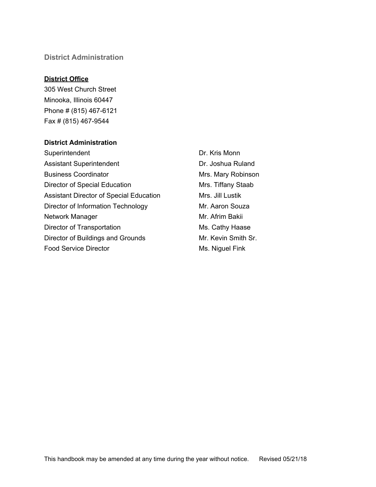#### <span id="page-6-0"></span>**District Administration**

#### **District Office**

305 West Church Street Minooka, Illinois 60447 Phone # (815) 467-6121 Fax # (815) 467-9544

#### **District Administration**

Superintendent Dr. Kris Monn Assistant Superintendent **Dr. Joshua Ruland** Business Coordinator **Mrs. Mary Robinson** Director of Special Education Mrs. Tiffany Staab Assistant Director of Special Education Mrs. Jill Lustik Director of Information Technology Mr. Aaron Souza Network Manager **Mr. Afrim Bakii** Director of Transportation Ms. Cathy Haase Director of Buildings and Grounds Mr. Kevin Smith Sr. Food Service Director **Ms. Niguel Fink**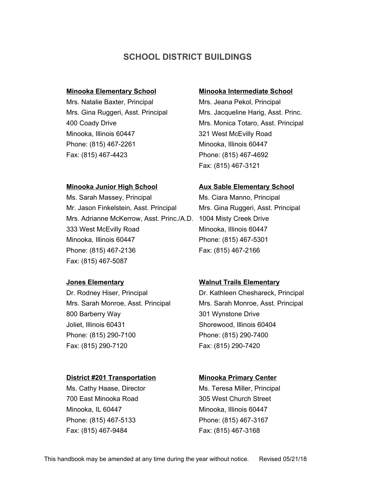## **SCHOOL DISTRICT BUILDINGS**

Mrs. Natalie Baxter, Principal Mrs. Jeana Pekol, Principal Minooka, Illinois 60447 321 West McEvilly Road Phone: (815) 467-2261 Minooka, Illinois 60447 Fax: (815) 467-4423 Phone: (815) 467-4692

#### <span id="page-7-0"></span>**Minooka Elementary School Minooka Intermediate School**

Mrs. Gina Ruggeri, Asst. Principal Mrs. Jacqueline Harig, Asst. Princ. 400 Coady Drive Mrs. Monica Totaro, Asst. Principal Fax: (815) 467-3121

Ms. Sarah Massey, Principal Ms. Ciara Manno, Principal Mr. Jason Finkelstein, Asst. Principal Mrs. Gina Ruggeri, Asst. Principal Mrs. Adrianne McKerrow, Asst. Princ./A.D. 1004 Misty Creek Drive 333 West McEvilly Road Minooka, Illinois 60447 Minooka, Illinois 60447 Phone: (815) 467-5301 Phone: (815) 467-2136 Fax: (815) 467-2166 Fax: (815) 467-5087

800 Barberry Way 301 Wynstone Drive Joliet, Illinois 60431 Shorewood, Illinois 60404 Phone: (815) 290-7100 Phone: (815) 290-7400 Fax: (815) 290-7120 Fax: (815) 290-7420

#### **District #201 Transportation Minooka Primary Center**

700 East Minooka Road 305 West Church Street Minooka, IL 60447 Minooka, Illinois 60447 Phone: (815) 467-5133 Phone: (815) 467-3167 Fax: (815) 467-9484 Fax: (815) 467-3168

#### **Minooka Junior High School Aux Sable Elementary School**

#### **Jones Elementary Walnut Trails Elementary**

Dr. Rodney Hiser, Principal Dr. Kathleen Cheshareck, Principal Mrs. Sarah Monroe, Asst. Principal Mrs. Sarah Monroe, Asst. Principal

Ms. Cathy Haase, Director **Ms. Teresa Miller, Principal**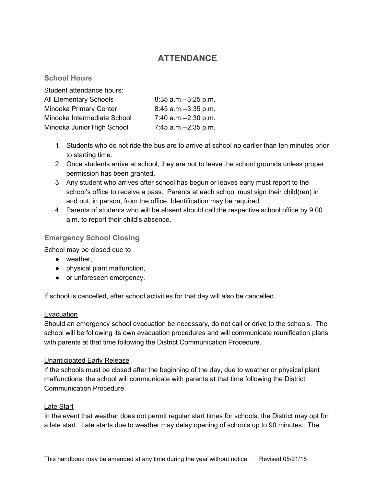# **ATTENDANCE**

#### <span id="page-8-1"></span><span id="page-8-0"></span>**School Hours**

| Student attendance hours:     |                        |
|-------------------------------|------------------------|
| <b>All Elementary Schools</b> | $8:35$ a.m.--3:25 p.m. |
| Minooka Primary Center        | 8:45 a.m.--3:35 p.m.   |
| Minooka Intermediate School   | 7:40 a.m.--2:30 p.m.   |
| Minooka Junior High School    | 7:45 a.m.--2:35 p.m.   |

- 1. Students who do not ride the bus are to arrive at school no earlier than ten minutes prior to starting time.
- 2. Once students arrive at school, they are not to leave the school grounds unless proper permission has been granted.
- 3. Any student who arrives after school has begun or leaves early must report to the school's office to receive a pass. Parents at each school must sign their child(ren) in and out, in person, from the office. Identification may be required.
- 4. Parents of students who will be absent should call the respective school office by 9:00 a.m. to report their child's absence.

#### <span id="page-8-2"></span>**Emergency School Closing**

School may be closed due to

- weather,
- physical plant malfunction,
- or unforeseen emergency.

If school is cancelled, after school activities for that day will also be cancelled.

#### Evacuation

Should an emergency school evacuation be necessary, do not call or drive to the schools. The school will be following its own evacuation procedures and will communicate reunification plans with parents at that time following the District Communication Procedure.

#### Unanticipated Early Release

If the schools must be closed after the beginning of the day, due to weather or physical plant malfunctions, the school will communicate with parents at that time following the District Communication Procedure.

#### Late Start

In the event that weather does not permit regular start times for schools, the District may opt for a late start. Late starts due to weather may delay opening of schools up to 90 minutes. The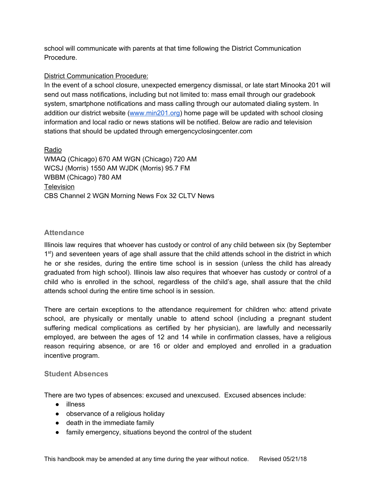school will communicate with parents at that time following the District Communication Procedure.

#### District Communication Procedure:

In the event of a school closure, unexpected emergency dismissal, or late start Minooka 201 will send out mass notifications, including but not limited to: mass email through our gradebook system, smartphone notifications and mass calling through our automated dialing system. In addition our district website ([www.min201.org](http://www.min201.org/)) home page will be updated with school closing information and local radio or news stations will be notified. Below are radio and television stations that should be updated through emergencyclosingcenter.com

Radio WMAQ (Chicago) 670 AM WGN (Chicago) 720 AM WCSJ (Morris) 1550 AM WJDK (Morris) 95.7 FM WBBM (Chicago) 780 AM **Television** CBS Channel 2 WGN Morning News Fox 32 CLTV News

#### <span id="page-9-0"></span>**Attendance**

Illinois law requires that whoever has custody or control of any child between six (by September 1<sup>st</sup>) and seventeen years of age shall assure that the child attends school in the district in which he or she resides, during the entire time school is in session (unless the child has already graduated from high school). Illinois law also requires that whoever has custody or control of a child who is enrolled in the school, regardless of the child's age, shall assure that the child attends school during the entire time school is in session.

There are certain exceptions to the attendance requirement for children who: attend private school, are physically or mentally unable to attend school (including a pregnant student suffering medical complications as certified by her physician), are lawfully and necessarily employed, are between the ages of 12 and 14 while in confirmation classes, have a religious reason requiring absence, or are 16 or older and employed and enrolled in a graduation incentive program.

#### <span id="page-9-1"></span>**Student Absences**

There are two types of absences: excused and unexcused. Excused absences include:

- illness
- observance of a religious holiday
- death in the immediate family
- family emergency, situations beyond the control of the student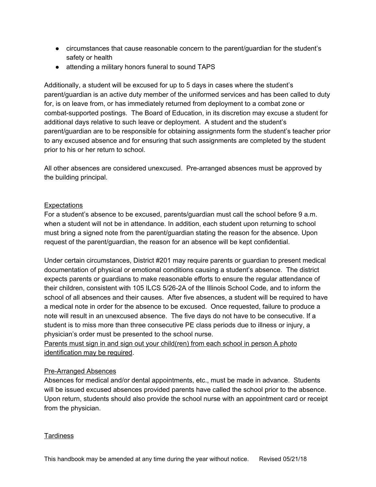- circumstances that cause reasonable concern to the parent/guardian for the student's safety or health
- attending a military honors funeral to sound TAPS

Additionally, a student will be excused for up to 5 days in cases where the student's parent/guardian is an active duty member of the uniformed services and has been called to duty for, is on leave from, or has immediately returned from deployment to a combat zone or combat-supported postings. The Board of Education, in its discretion may excuse a student for additional days relative to such leave or deployment. A student and the student's parent/guardian are to be responsible for obtaining assignments form the student's teacher prior to any excused absence and for ensuring that such assignments are completed by the student prior to his or her return to school.

All other absences are considered unexcused. Pre-arranged absences must be approved by the building principal.

#### **Expectations**

For a student's absence to be excused, parents/guardian must call the school before 9 a.m. when a student will not be in attendance. In addition, each student upon returning to school must bring a signed note from the parent/guardian stating the reason for the absence. Upon request of the parent/guardian, the reason for an absence will be kept confidential.

Under certain circumstances, District #201 may require parents or guardian to present medical documentation of physical or emotional conditions causing a student's absence. The district expects parents or guardians to make reasonable efforts to ensure the regular attendance of their children, consistent with 105 ILCS 5/26-2A of the Illinois School Code, and to inform the school of all absences and their causes. After five absences, a student will be required to have a medical note in order for the absence to be excused. Once requested, failure to produce a note will result in an unexcused absence. The five days do not have to be consecutive. If a student is to miss more than three consecutive PE class periods due to illness or injury, a physician's order must be presented to the school nurse.

Parents must sign in and sign out your child(ren) from each school in person A photo identification may be required.

#### Pre-Arranged Absences

Absences for medical and/or dental appointments, etc., must be made in advance. Students will be issued excused absences provided parents have called the school prior to the absence. Upon return, students should also provide the school nurse with an appointment card or receipt from the physician.

#### **Tardiness**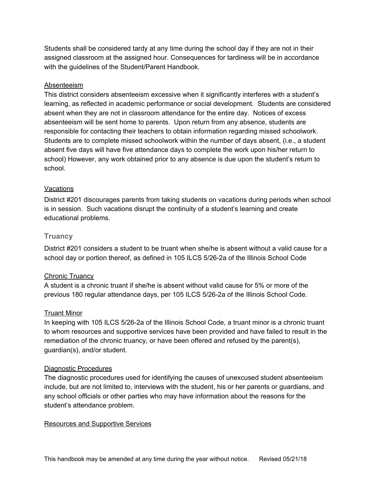Students shall be considered tardy at any time during the school day if they are not in their assigned classroom at the assigned hour. Consequences for tardiness will be in accordance with the guidelines of the Student/Parent Handbook.

#### Absenteeism

This district considers absenteeism excessive when it significantly interferes with a student's learning, as reflected in academic performance or social development. Students are considered absent when they are not in classroom attendance for the entire day. Notices of excess absenteeism will be sent home to parents. Upon return from any absence, students are responsible for contacting their teachers to obtain information regarding missed schoolwork. Students are to complete missed schoolwork within the number of days absent, (i.e., a student absent five days will have five attendance days to complete the work upon his/her return to school) However, any work obtained prior to any absence is due upon the student's return to school.

#### **Vacations**

District #201 discourages parents from taking students on vacations during periods when school is in session. Such vacations disrupt the continuity of a student's learning and create educational problems.

#### <span id="page-11-0"></span>**Truancy**

District #201 considers a student to be truant when she/he is absent without a valid cause for a school day or portion thereof, as defined in 105 ILCS 5/26-2a of the Illinois School Code

#### Chronic Truancy

A student is a chronic truant if she/he is absent without valid cause for 5% or more of the previous 180 regular attendance days, per 105 ILCS 5/26-2a of the Illinois School Code.

#### Truant Minor

In keeping with 105 ILCS 5/26-2a of the Illinois School Code, a truant minor is a chronic truant to whom resources and supportive services have been provided and have failed to result in the remediation of the chronic truancy, or have been offered and refused by the parent(s), guardian(s), and/or student.

#### Diagnostic Procedures

The diagnostic procedures used for identifying the causes of unexcused student absenteeism include, but are not limited to, interviews with the student, his or her parents or guardians, and any school officials or other parties who may have information about the reasons for the student's attendance problem.

#### Resources and Supportive Services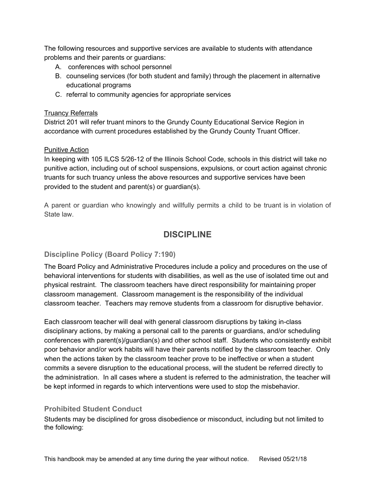The following resources and supportive services are available to students with attendance problems and their parents or guardians:

- A. conferences with school personnel
- B. counseling services (for both student and family) through the placement in alternative educational programs
- C. referral to community agencies for appropriate services

#### Truancy Referrals

District 201 will refer truant minors to the Grundy County Educational Service Region in accordance with current procedures established by the Grundy County Truant Officer.

#### Punitive Action

In keeping with 105 ILCS 5/26-12 of the Illinois School Code, schools in this district will take no punitive action, including out of school suspensions, expulsions, or court action against chronic truants for such truancy unless the above resources and supportive services have been provided to the student and parent(s) or guardian(s).

<span id="page-12-0"></span>A parent or guardian who knowingly and willfully permits a child to be truant is in violation of State law.

# **DISCIPLINE**

#### <span id="page-12-1"></span>**Discipline Policy (Board Policy 7:190)**

The Board Policy and Administrative Procedures include a policy and procedures on the use of behavioral interventions for students with disabilities, as well as the use of isolated time out and physical restraint. The classroom teachers have direct responsibility for maintaining proper classroom management. Classroom management is the responsibility of the individual classroom teacher. Teachers may remove students from a classroom for disruptive behavior.

Each classroom teacher will deal with general classroom disruptions by taking in-class disciplinary actions, by making a personal call to the parents or guardians, and/or scheduling conferences with parent(s)/guardian(s) and other school staff. Students who consistently exhibit poor behavior and/or work habits will have their parents notified by the classroom teacher. Only when the actions taken by the classroom teacher prove to be ineffective or when a student commits a severe disruption to the educational process, will the student be referred directly to the administration. In all cases where a student is referred to the administration, the teacher will be kept informed in regards to which interventions were used to stop the misbehavior.

#### <span id="page-12-2"></span>**Prohibited Student Conduct**

Students may be disciplined for gross disobedience or misconduct, including but not limited to the following: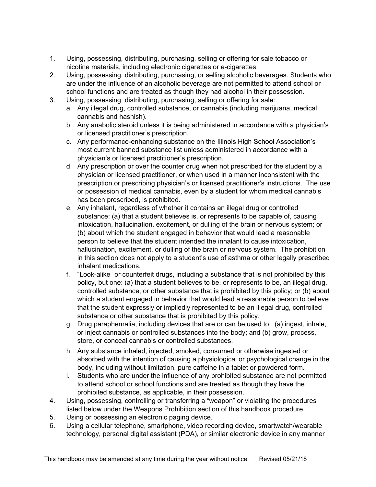- 1. Using, possessing, distributing, purchasing, selling or offering for sale tobacco or nicotine materials, including electronic cigarettes or e-cigarettes.
- 2. Using, possessing, distributing, purchasing, or selling alcoholic beverages. Students who are under the influence of an alcoholic beverage are not permitted to attend school or school functions and are treated as though they had alcohol in their possession.
- 3. Using, possessing, distributing, purchasing, selling or offering for sale:
	- a. Any illegal drug, controlled substance, or cannabis (including marijuana, medical cannabis and hashish).
	- b. Any anabolic steroid unless it is being administered in accordance with a physician's or licensed practitioner's prescription.
	- c. Any performance-enhancing substance on the Illinois High School Association's most current banned substance list unless administered in accordance with a physician's or licensed practitioner's prescription.
	- d. Any prescription or over the counter drug when not prescribed for the student by a physician or licensed practitioner, or when used in a manner inconsistent with the prescription or prescribing physician's or licensed practitioner's instructions. The use or possession of medical cannabis, even by a student for whom medical cannabis has been prescribed, is prohibited.
	- e. Any inhalant, regardless of whether it contains an illegal drug or controlled substance: (a) that a student believes is, or represents to be capable of, causing intoxication, hallucination, excitement, or dulling of the brain or nervous system; or (b) about which the student engaged in behavior that would lead a reasonable person to believe that the student intended the inhalant to cause intoxication, hallucination, excitement, or dulling of the brain or nervous system. The prohibition in this section does not apply to a student's use of asthma or other legally prescribed inhalant medications.
	- f. "Look-alike" or counterfeit drugs, including a substance that is not prohibited by this policy, but one: (a) that a student believes to be, or represents to be, an illegal drug, controlled substance, or other substance that is prohibited by this policy; or (b) about which a student engaged in behavior that would lead a reasonable person to believe that the student expressly or impliedly represented to be an illegal drug, controlled substance or other substance that is prohibited by this policy.
	- g. Drug paraphernalia, including devices that are or can be used to: (a) ingest, inhale, or inject cannabis or controlled substances into the body; and (b) grow, process, store, or conceal cannabis or controlled substances.
	- h. Any substance inhaled, injected, smoked, consumed or otherwise ingested or absorbed with the intention of causing a physiological or psychological change in the body, including without limitation, pure caffeine in a tablet or powdered form.
	- i. Students who are under the influence of any prohibited substance are not permitted to attend school or school functions and are treated as though they have the prohibited substance, as applicable, in their possession.
- 4. Using, possessing, controlling or transferring a "weapon" or violating the procedures listed below under the Weapons Prohibition section of this handbook procedure.
- 5. Using or possessing an electronic paging device.
- 6. Using a cellular telephone, smartphone, video recording device, smartwatch/wearable technology, personal digital assistant (PDA), or similar electronic device in any manner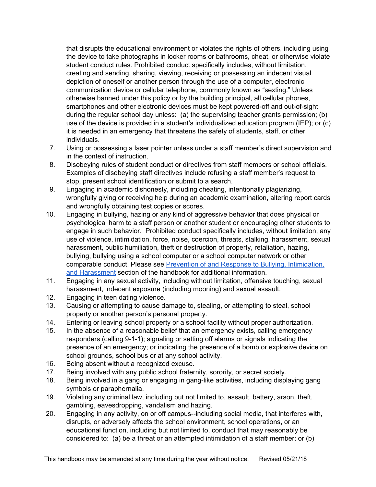that disrupts the educational environment or violates the rights of others, including using the device to take photographs in locker rooms or bathrooms, cheat, or otherwise violate student conduct rules. Prohibited conduct specifically includes, without limitation, creating and sending, sharing, viewing, receiving or possessing an indecent visual depiction of oneself or another person through the use of a computer, electronic communication device or cellular telephone, commonly known as "sexting." Unless otherwise banned under this policy or by the building principal, all cellular phones, smartphones and other electronic devices must be kept powered-off and out-of-sight during the regular school day unless: (a) the supervising teacher grants permission; (b) use of the device is provided in a student's individualized education program (IEP); or (c) it is needed in an emergency that threatens the safety of students, staff, or other individuals.

- 7. Using or possessing a laser pointer unless under a staff member's direct supervision and in the context of instruction.
- 8. Disobeying rules of student conduct or directives from staff members or school officials. Examples of disobeying staff directives include refusing a staff member's request to stop, present school identification or submit to a search.
- 9. Engaging in academic dishonesty, including cheating, intentionally plagiarizing, wrongfully giving or receiving help during an academic examination, altering report cards and wrongfully obtaining test copies or scores.
- 10. Engaging in bullying, hazing or any kind of aggressive behavior that does physical or psychological harm to a staff person or another student or encouraging other students to engage in such behavior. Prohibited conduct specifically includes, without limitation, any use of violence, intimidation, force, noise, coercion, threats, stalking, harassment, sexual harassment, public humiliation, theft or destruction of property, retaliation, hazing, bullying, bullying using a school computer or a school computer network or other comparable conduct. Please see Prevention of and Response to Bullying, [Intimidation,](#page-44-0) and [Harassment](#page-44-0) section of the handbook for additional information.
- 11. Engaging in any sexual activity, including without limitation, offensive touching, sexual harassment, indecent exposure (including mooning) and sexual assault.
- 12. Engaging in teen dating violence.
- 13. Causing or attempting to cause damage to, stealing, or attempting to steal, school property or another person's personal property.
- 14. Entering or leaving school property or a school facility without proper authorization.
- 15. In the absence of a reasonable belief that an emergency exists, calling emergency responders (calling 9-1-1); signaling or setting off alarms or signals indicating the presence of an emergency; or indicating the presence of a bomb or explosive device on school grounds, school bus or at any school activity.
- 16. Being absent without a recognized excuse.
- 17. Being involved with any public school fraternity, sorority, or secret society.
- 18. Being involved in a gang or engaging in gang-like activities, including displaying gang symbols or paraphernalia.
- 19. Violating any criminal law, including but not limited to, assault, battery, arson, theft, gambling, eavesdropping, vandalism and hazing.
- 20. Engaging in any activity, on or off campus--including social media, that interferes with, disrupts, or adversely affects the school environment, school operations, or an educational function, including but not limited to, conduct that may reasonably be considered to: (a) be a threat or an attempted intimidation of a staff member; or (b)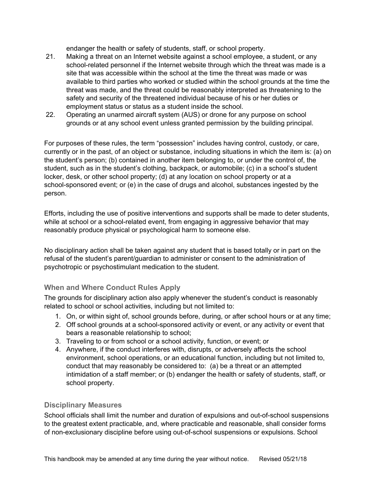endanger the health or safety of students, staff, or school property.

- 21. Making a threat on an Internet website against a school employee, a student, or any school-related personnel if the Internet website through which the threat was made is a site that was accessible within the school at the time the threat was made or was available to third parties who worked or studied within the school grounds at the time the threat was made, and the threat could be reasonably interpreted as threatening to the safety and security of the threatened individual because of his or her duties or employment status or status as a student inside the school.
- 22. Operating an unarmed aircraft system (AUS) or drone for any purpose on school grounds or at any school event unless granted permission by the building principal.

For purposes of these rules, the term "possession" includes having control, custody, or care, currently or in the past, of an object or substance, including situations in which the item is: (a) on the student's person; (b) contained in another item belonging to, or under the control of, the student, such as in the student's clothing, backpack, or automobile; (c) in a school's student locker, desk, or other school property; (d) at any location on school property or at a school-sponsored event; or (e) in the case of drugs and alcohol, substances ingested by the person.

Efforts, including the use of positive interventions and supports shall be made to deter students, while at school or a school-related event, from engaging in aggressive behavior that may reasonably produce physical or psychological harm to someone else.

No disciplinary action shall be taken against any student that is based totally or in part on the refusal of the student's parent/guardian to administer or consent to the administration of psychotropic or psychostimulant medication to the student.

#### <span id="page-15-0"></span>**When and Where Conduct Rules Apply**

The grounds for disciplinary action also apply whenever the student's conduct is reasonably related to school or school activities, including but not limited to:

- 1. On, or within sight of, school grounds before, during, or after school hours or at any time;
- 2. Off school grounds at a school-sponsored activity or event, or any activity or event that bears a reasonable relationship to school;
- 3. Traveling to or from school or a school activity, function, or event; or
- 4. Anywhere, if the conduct interferes with, disrupts, or adversely affects the school environment, school operations, or an educational function, including but not limited to, conduct that may reasonably be considered to: (a) be a threat or an attempted intimidation of a staff member; or (b) endanger the health or safety of students, staff, or school property.

#### <span id="page-15-1"></span>**Disciplinary Measures**

School officials shall limit the number and duration of expulsions and out-of-school suspensions to the greatest extent practicable, and, where practicable and reasonable, shall consider forms of non-exclusionary discipline before using out-of-school suspensions or expulsions. School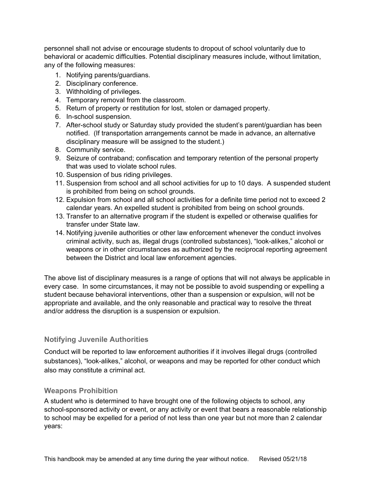personnel shall not advise or encourage students to dropout of school voluntarily due to behavioral or academic difficulties. Potential disciplinary measures include, without limitation, any of the following measures:

- 1. Notifying parents/guardians.
- 2. Disciplinary conference.
- 3. Withholding of privileges.
- 4. Temporary removal from the classroom.
- 5. Return of property or restitution for lost, stolen or damaged property.
- 6. In-school suspension.
- 7. After-school study or Saturday study provided the student's parent/guardian has been notified. (If transportation arrangements cannot be made in advance, an alternative disciplinary measure will be assigned to the student.)
- 8. Community service.
- 9. Seizure of contraband; confiscation and temporary retention of the personal property that was used to violate school rules.
- 10. Suspension of bus riding privileges.
- 11. Suspension from school and all school activities for up to 10 days. A suspended student is prohibited from being on school grounds.
- 12. Expulsion from school and all school activities for a definite time period not to exceed 2 calendar years. An expelled student is prohibited from being on school grounds.
- 13. Transfer to an alternative program if the student is expelled or otherwise qualifies for transfer under State law.
- 14. Notifying juvenile authorities or other law enforcement whenever the conduct involves criminal activity, such as, illegal drugs (controlled substances), "look-alikes," alcohol or weapons or in other circumstances as authorized by the reciprocal reporting agreement between the District and local law enforcement agencies.

The above list of disciplinary measures is a range of options that will not always be applicable in every case. In some circumstances, it may not be possible to avoid suspending or expelling a student because behavioral interventions, other than a suspension or expulsion, will not be appropriate and available, and the only reasonable and practical way to resolve the threat and/or address the disruption is a suspension or expulsion.

#### <span id="page-16-0"></span>**Notifying Juvenile Authorities**

Conduct will be reported to law enforcement authorities if it involves illegal drugs (controlled substances), "look-alikes," alcohol, or weapons and may be reported for other conduct which also may constitute a criminal act.

#### <span id="page-16-1"></span>**Weapons Prohibition**

A student who is determined to have brought one of the following objects to school, any school-sponsored activity or event, or any activity or event that bears a reasonable relationship to school may be expelled for a period of not less than one year but not more than 2 calendar years: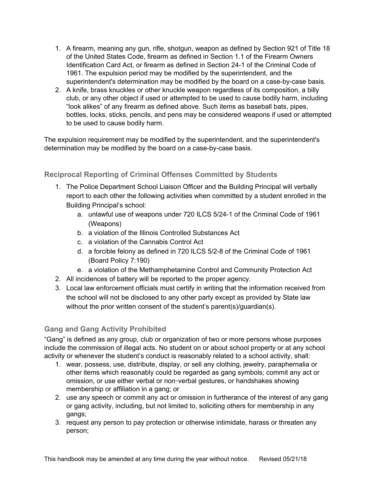- 1. A firearm, meaning any gun, rifle, shotgun, weapon as defined by Section 921 of Title 18 of the United States Code, firearm as defined in Section 1.1 of the Firearm Owners Identification Card Act, or firearm as defined in Section 24-1 of the Criminal Code of 1961. The expulsion period may be modified by the superintendent, and the superintendent's determination may be modified by the board on a case-by-case basis.
- 2. A knife, brass knuckles or other knuckle weapon regardless of its composition, a billy club, or any other object if used or attempted to be used to cause bodily harm, including "look alikes" of any firearm as defined above. Such items as baseball bats, pipes, bottles, locks, sticks, pencils, and pens may be considered weapons if used or attempted to be used to cause bodily harm.

The expulsion requirement may be modified by the superintendent, and the superintendent's determination may be modified by the board on a case-by-case basis.

#### <span id="page-17-0"></span>**Reciprocal Reporting of Criminal Offenses Committed by Students**

- 1. The Police Department School Liaison Officer and the Building Principal will verbally report to each other the following activities when committed by a student enrolled in the Building Principal's school:
	- a. unlawful use of weapons under 720 ILCS 5/24-1 of the Criminal Code of 1961 (Weapons)
	- b. a violation of the Illinois Controlled Substances Act
	- c. a violation of the Cannabis Control Act
	- d. a forcible felony as defined in 720 ILCS 5/2-8 of the Criminal Code of 1961 (Board Policy 7:190)
	- e. a violation of the Methamphetamine Control and Community Protection Act
- 2. All incidences of battery will be reported to the proper agency.
- 3. Local law enforcement officials must certify in writing that the information received from the school will not be disclosed to any other party except as provided by State law without the prior written consent of the student's parent(s)/guardian(s).

#### <span id="page-17-1"></span>**Gang and Gang Activity Prohibited**

"Gang" is defined as any group, club or organization of two or more persons whose purposes include the commission of illegal acts. No student on or about school property or at any school activity or whenever the student's conduct is reasonably related to a school activity, shall:

- 1. wear, possess, use, distribute, display, or sell any clothing, jewelry, paraphernalia or other items which reasonably could be regarded as gang symbols; commit any act or omission, or use either verbal or non-verbal gestures, or handshakes showing membership or affiliation in a gang; or
- 2. use any speech or commit any act or omission in furtherance of the interest of any gang or gang activity, including, but not limited to, soliciting others for membership in any gangs;
- 3. request any person to pay protection or otherwise intimidate, harass or threaten any person;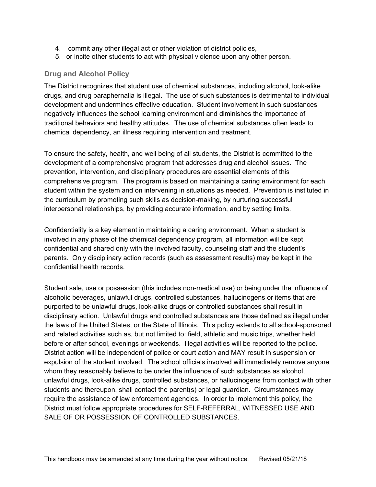- 4. commit any other illegal act or other violation of district policies,
- 5. or incite other students to act with physical violence upon any other person.

#### <span id="page-18-0"></span>**Drug and Alcohol Policy**

The District recognizes that student use of chemical substances, including alcohol, look-alike drugs, and drug paraphernalia is illegal. The use of such substances is detrimental to individual development and undermines effective education. Student involvement in such substances negatively influences the school learning environment and diminishes the importance of traditional behaviors and healthy attitudes. The use of chemical substances often leads to chemical dependency, an illness requiring intervention and treatment.

To ensure the safety, health, and well being of all students, the District is committed to the development of a comprehensive program that addresses drug and alcohol issues. The prevention, intervention, and disciplinary procedures are essential elements of this comprehensive program. The program is based on maintaining a caring environment for each student within the system and on intervening in situations as needed. Prevention is instituted in the curriculum by promoting such skills as decision-making, by nurturing successful interpersonal relationships, by providing accurate information, and by setting limits.

Confidentiality is a key element in maintaining a caring environment. When a student is involved in any phase of the chemical dependency program, all information will be kept confidential and shared only with the involved faculty, counseling staff and the student's parents. Only disciplinary action records (such as assessment results) may be kept in the confidential health records.

Student sale, use or possession (this includes non-medical use) or being under the influence of alcoholic beverages, unlawful drugs, controlled substances, hallucinogens or items that are purported to be unlawful drugs, look-alike drugs or controlled substances shall result in disciplinary action. Unlawful drugs and controlled substances are those defined as illegal under the laws of the United States, or the State of Illinois. This policy extends to all school-sponsored and related activities such as, but not limited to: field, athletic and music trips, whether held before or after school, evenings or weekends. Illegal activities will be reported to the police. District action will be independent of police or court action and MAY result in suspension or expulsion of the student involved. The school officials involved will immediately remove anyone whom they reasonably believe to be under the influence of such substances as alcohol, unlawful drugs, look-alike drugs, controlled substances, or hallucinogens from contact with other students and thereupon, shall contact the parent(s) or legal guardian. Circumstances may require the assistance of law enforcement agencies. In order to implement this policy, the District must follow appropriate procedures for SELF-REFERRAL, WITNESSED USE AND SALE OF OR POSSESSION OF CONTROLLED SUBSTANCES.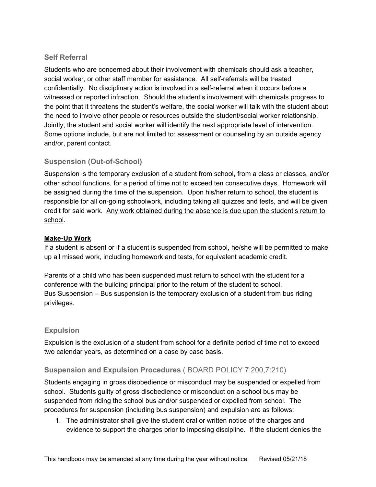#### <span id="page-19-0"></span>**Self Referral**

Students who are concerned about their involvement with chemicals should ask a teacher, social worker, or other staff member for assistance. All self-referrals will be treated confidentially. No disciplinary action is involved in a self-referral when it occurs before a witnessed or reported infraction. Should the student's involvement with chemicals progress to the point that it threatens the student's welfare, the social worker will talk with the student about the need to involve other people or resources outside the student/social worker relationship. Jointly, the student and social worker will identify the next appropriate level of intervention. Some options include, but are not limited to: assessment or counseling by an outside agency and/or, parent contact.

#### <span id="page-19-1"></span>**Suspension (Out-of-School)**

Suspension is the temporary exclusion of a student from school, from a class or classes, and/or other school functions, for a period of time not to exceed ten consecutive days. Homework will be assigned during the time of the suspension. Upon his/her return to school, the student is responsible for all on-going schoolwork, including taking all quizzes and tests, and will be given credit for said work. Any work obtained during the absence is due upon the student's return to school.

#### **Make-Up Work**

If a student is absent or if a student is suspended from school, he/she will be permitted to make up all missed work, including homework and tests, for equivalent academic credit.

Parents of a child who has been suspended must return to school with the student for a conference with the building principal prior to the return of the student to school. Bus Suspension – Bus suspension is the temporary exclusion of a student from bus riding privileges.

#### <span id="page-19-2"></span>**Expulsion**

Expulsion is the exclusion of a student from school for a definite period of time not to exceed two calendar years, as determined on a case by case basis.

#### <span id="page-19-3"></span>**Suspension and Expulsion Procedures** ( BOARD POLICY 7:200,7:210)

Students engaging in gross disobedience or misconduct may be suspended or expelled from school. Students guilty of gross disobedience or misconduct on a school bus may be suspended from riding the school bus and/or suspended or expelled from school. The procedures for suspension (including bus suspension) and expulsion are as follows:

1. The administrator shall give the student oral or written notice of the charges and evidence to support the charges prior to imposing discipline. If the student denies the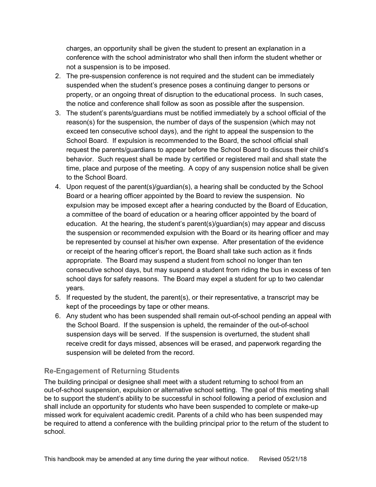charges, an opportunity shall be given the student to present an explanation in a conference with the school administrator who shall then inform the student whether or not a suspension is to be imposed.

- 2. The pre-suspension conference is not required and the student can be immediately suspended when the student's presence poses a continuing danger to persons or property, or an ongoing threat of disruption to the educational process. In such cases, the notice and conference shall follow as soon as possible after the suspension.
- 3. The student's parents/guardians must be notified immediately by a school official of the reason(s) for the suspension, the number of days of the suspension (which may not exceed ten consecutive school days), and the right to appeal the suspension to the School Board. If expulsion is recommended to the Board, the school official shall request the parents/guardians to appear before the School Board to discuss their child's behavior. Such request shall be made by certified or registered mail and shall state the time, place and purpose of the meeting. A copy of any suspension notice shall be given to the School Board.
- 4. Upon request of the parent(s)/guardian(s), a hearing shall be conducted by the School Board or a hearing officer appointed by the Board to review the suspension. No expulsion may be imposed except after a hearing conducted by the Board of Education, a committee of the board of education or a hearing officer appointed by the board of education. At the hearing, the student's parent(s)/guardian(s) may appear and discuss the suspension or recommended expulsion with the Board or its hearing officer and may be represented by counsel at his/her own expense. After presentation of the evidence or receipt of the hearing officer's report, the Board shall take such action as it finds appropriate. The Board may suspend a student from school no longer than ten consecutive school days, but may suspend a student from riding the bus in excess of ten school days for safety reasons. The Board may expel a student for up to two calendar years.
- 5. If requested by the student, the parent(s), or their representative, a transcript may be kept of the proceedings by tape or other means.
- 6. Any student who has been suspended shall remain out-of-school pending an appeal with the School Board. If the suspension is upheld, the remainder of the out-of-school suspension days will be served. If the suspension is overturned, the student shall receive credit for days missed, absences will be erased, and paperwork regarding the suspension will be deleted from the record.

#### <span id="page-20-0"></span>**Re-Engagement of Returning Students**

The building principal or designee shall meet with a student returning to school from an out-of-school suspension, expulsion or alternative school setting. The goal of this meeting shall be to support the student's ability to be successful in school following a period of exclusion and shall include an opportunity for students who have been suspended to complete or make-up missed work for equivalent academic credit. Parents of a child who has been suspended may be required to attend a conference with the building principal prior to the return of the student to school.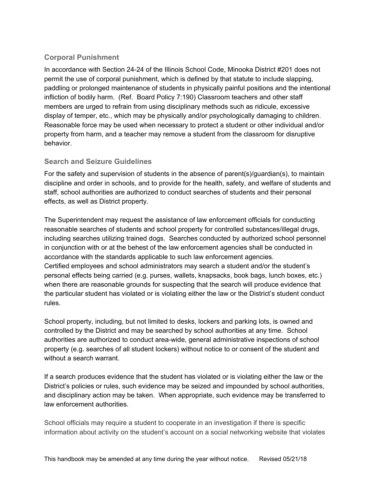### <span id="page-21-0"></span>**Corporal Punishment**

In accordance with Section 24-24 of the Illinois School Code, Minooka District #201 does not permit the use of corporal punishment, which is defined by that statute to include slapping, paddling or prolonged maintenance of students in physically painful positions and the intentional infliction of bodily harm. (Ref. Board Policy 7:190) Classroom teachers and other staff members are urged to refrain from using disciplinary methods such as ridicule, excessive display of temper, etc., which may be physically and/or psychologically damaging to children. Reasonable force may be used when necessary to protect a student or other individual and/or property from harm, and a teacher may remove a student from the classroom for disruptive behavior.

#### <span id="page-21-1"></span>**Search and Seizure Guidelines**

For the safety and supervision of students in the absence of parent(s)/guardian(s), to maintain discipline and order in schools, and to provide for the health, safety, and welfare of students and staff, school authorities are authorized to conduct searches of students and their personal effects, as well as District property.

The Superintendent may request the assistance of law enforcement officials for conducting reasonable searches of students and school property for controlled substances/illegal drugs, including searches utilizing trained dogs. Searches conducted by authorized school personnel in conjunction with or at the behest of the law enforcement agencies shall be conducted in accordance with the standards applicable to such law enforcement agencies. Certified employees and school administrators may search a student and/or the student's personal effects being carried (e.g. purses, wallets, knapsacks, book bags, lunch boxes, etc.) when there are reasonable grounds for suspecting that the search will produce evidence that the particular student has violated or is violating either the law or the District's student conduct rules.

School property, including, but not limited to desks, lockers and parking lots, is owned and controlled by the District and may be searched by school authorities at any time. School authorities are authorized to conduct area-wide, general administrative inspections of school property (e.g. searches of all student lockers) without notice to or consent of the student and without a search warrant.

If a search produces evidence that the student has violated or is violating either the law or the District's policies or rules, such evidence may be seized and impounded by school authorities, and disciplinary action may be taken. When appropriate, such evidence may be transferred to law enforcement authorities.

School officials may require a student to cooperate in an investigation if there is specific information about activity on the student's account on a social networking website that violates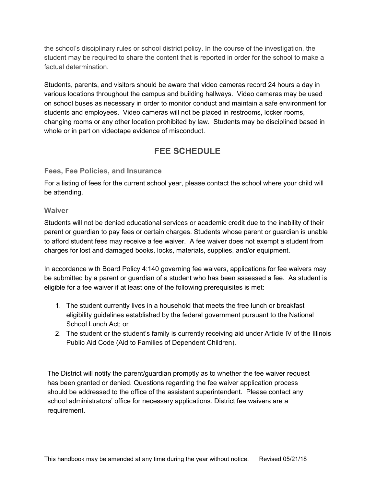the school's disciplinary rules or school district policy. In the course of the investigation, the student may be required to share the content that is reported in order for the school to make a factual determination.

Students, parents, and visitors should be aware that video cameras record 24 hours a day in various locations throughout the campus and building hallways. Video cameras may be used on school buses as necessary in order to monitor conduct and maintain a safe environment for students and employees. Video cameras will not be placed in restrooms, locker rooms, changing rooms or any other location prohibited by law. Students may be disciplined based in whole or in part on videotape evidence of misconduct.

# **FEE SCHEDULE**

#### <span id="page-22-1"></span><span id="page-22-0"></span>**Fees, Fee Policies, and Insurance**

For a listing of fees for the current school year, please contact the school where your child will be attending.

#### <span id="page-22-2"></span>**Waiver**

Students will not be denied educational services or academic credit due to the inability of their parent or guardian to pay fees or certain charges. Students whose parent or guardian is unable to afford student fees may receive a fee waiver. A fee waiver does not exempt a student from charges for lost and damaged books, locks, materials, supplies, and/or equipment.

In accordance with Board Policy 4:140 governing fee waivers, applications for fee waivers may be submitted by a parent or guardian of a student who has been assessed a fee. As student is eligible for a fee waiver if at least one of the following prerequisites is met:

- 1. The student currently lives in a household that meets the free lunch or breakfast eligibility guidelines established by the federal government pursuant to the National School Lunch Act; or
- 2. The student or the student's family is currently receiving aid under Article IV of the Illinois Public Aid Code (Aid to Families of Dependent Children).

The District will notify the parent/guardian promptly as to whether the fee waiver request has been granted or denied. Questions regarding the fee waiver application process should be addressed to the office of the assistant superintendent. Please contact any school administrators' office for necessary applications. District fee waivers are a requirement.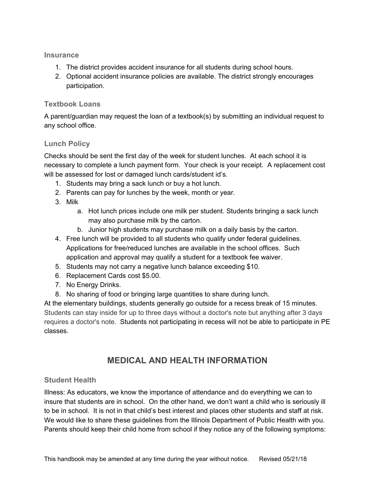<span id="page-23-0"></span>**Insurance**

- 1. The district provides accident insurance for all students during school hours.
- 2. Optional accident insurance policies are available. The district strongly encourages participation.

#### <span id="page-23-1"></span>**Textbook Loans**

A parent/guardian may request the loan of a textbook(s) by submitting an individual request to any school office.

#### <span id="page-23-2"></span>**Lunch Policy**

Checks should be sent the first day of the week for student lunches. At each school it is necessary to complete a lunch payment form. Your check is your receipt. A replacement cost will be assessed for lost or damaged lunch cards/student id's.

- 1. Students may bring a sack lunch or buy a hot lunch.
- 2. Parents can pay for lunches by the week, month or year.
- 3. Milk
	- a. Hot lunch prices include one milk per student. Students bringing a sack lunch may also purchase milk by the carton.
	- b. Junior high students may purchase milk on a daily basis by the carton.
- 4. Free lunch will be provided to all students who qualify under federal guidelines. Applications for free/reduced lunches are available in the school offices. Such application and approval may qualify a student for a textbook fee waiver.
- 5. Students may not carry a negative lunch balance exceeding \$10.
- 6. Replacement Cards cost \$5.00.
- 7. No Energy Drinks.
- 8. No sharing of food or bringing large quantities to share during lunch.

At the elementary buildings, students generally go outside for a recess break of 15 minutes. Students can stay inside for up to three days without a doctor's note but anything after 3 days requires a doctor's note. Students not participating in recess will not be able to participate in PE classes.

# **MEDICAL AND HEALTH INFORMATION**

#### <span id="page-23-4"></span><span id="page-23-3"></span>**Student Health**

Illness: As educators, we know the importance of attendance and do everything we can to insure that students are in school. On the other hand, we don't want a child who is seriously ill to be in school. It is not in that child's best interest and places other students and staff at risk. We would like to share these guidelines from the Illinois Department of Public Health with you. Parents should keep their child home from school if they notice any of the following symptoms: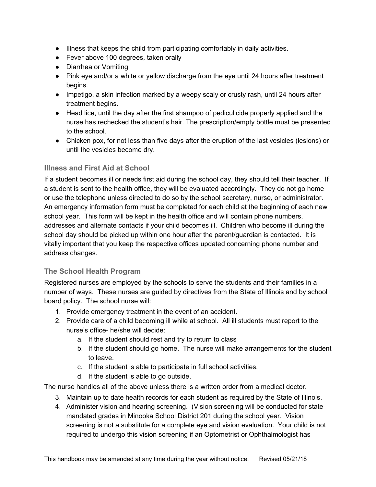- Illness that keeps the child from participating comfortably in daily activities.
- Fever above 100 degrees, taken orally
- Diarrhea or Vomiting
- Pink eye and/or a white or yellow discharge from the eye until 24 hours after treatment begins.
- Impetigo, a skin infection marked by a weepy scaly or crusty rash, until 24 hours after treatment begins.
- Head lice, until the day after the first shampoo of pediculicide properly applied and the nurse has rechecked the student's hair. The prescription/empty bottle must be presented to the school.
- Chicken pox, for not less than five days after the eruption of the last vesicles (lesions) or until the vesicles become dry.

#### <span id="page-24-0"></span>**Illness and First Aid at School**

If a student becomes ill or needs first aid during the school day, they should tell their teacher. If a student is sent to the health office, they will be evaluated accordingly. They do not go home or use the telephone unless directed to do so by the school secretary, nurse, or administrator. An emergency information form must be completed for each child at the beginning of each new school year. This form will be kept in the health office and will contain phone numbers, addresses and alternate contacts if your child becomes ill. Children who become ill during the school day should be picked up within one hour after the parent/guardian is contacted. It is vitally important that you keep the respective offices updated concerning phone number and address changes.

#### <span id="page-24-1"></span>**The School Health Program**

Registered nurses are employed by the schools to serve the students and their families in a number of ways. These nurses are guided by directives from the State of Illinois and by school board policy. The school nurse will:

- 1. Provide emergency treatment in the event of an accident.
- 2. Provide care of a child becoming ill while at school. All ill students must report to the nurse's office- he/she will decide:
	- a. If the student should rest and try to return to class
	- b. If the student should go home. The nurse will make arrangements for the student to leave.
	- c. If the student is able to participate in full school activities.
	- d. If the student is able to go outside.

The nurse handles all of the above unless there is a written order from a medical doctor.

- 3. Maintain up to date health records for each student as required by the State of Illinois.
- 4. Administer vision and hearing screening. (Vision screening will be conducted for state mandated grades in Minooka School District 201 during the school year. Vision screening is not a substitute for a complete eye and vision evaluation. Your child is not required to undergo this vision screening if an Optometrist or Ophthalmologist has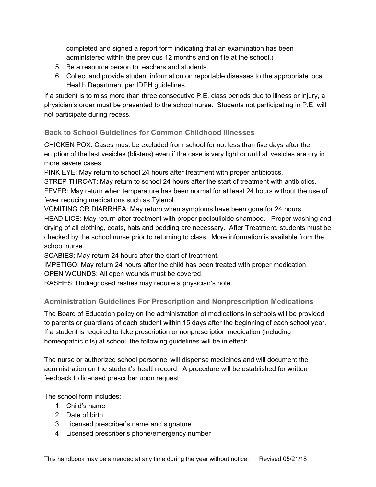completed and signed a report form indicating that an examination has been administered within the previous 12 months and on file at the school.)

- 5. Be a resource person to teachers and students.
- 6. Collect and provide student information on reportable diseases to the appropriate local Health Department per IDPH guidelines.

If a student is to miss more than three consecutive P.E. class periods due to illness or injury, a physician's order must be presented to the school nurse. Students not participating in P.E. will not participate during recess.

#### <span id="page-25-0"></span>**Back to School Guidelines for Common Childhood Illnesses**

CHICKEN POX: Cases must be excluded from school for not less than five days after the eruption of the last vesicles (blisters) even if the case is very light or until all vesicles are dry in more severe cases.

PINK EYE: May return to school 24 hours after treatment with proper antibiotics.

STREP THROAT: May return to school 24 hours after the start of treatment with antibiotics. FEVER: May return when temperature has been normal for at least 24 hours without the use of fever reducing medications such as Tylenol.

VOMITING OR DIARRHEA: May return when symptoms have been gone for 24 hours.

HEAD LICE: May return after treatment with proper pediculicide shampoo. Proper washing and drying of all clothing, coats, hats and bedding are necessary. After Treatment, students must be checked by the school nurse prior to returning to class. More information is available from the school nurse.

SCABIES: May return 24 hours after the start of treatment.

IMPETIGO: May return 24 hours after the child has been treated with proper medication.

OPEN WOUNDS: All open wounds must be covered.

RASHES: Undiagnosed rashes may require a physician's note.

#### <span id="page-25-1"></span>**Administration Guidelines For Prescription and Nonprescription Medications**

The Board of Education policy on the administration of medications in schools will be provided to parents or guardians of each student within 15 days after the beginning of each school year. If a student is required to take prescription or nonprescription medication (including homeopathic oils) at school, the following guidelines will be in effect:

The nurse or authorized school personnel will dispense medicines and will document the administration on the student's health record. A procedure will be established for written feedback to licensed prescriber upon request.

The school form includes:

- 1. Child's name
- 2. Date of birth
- 3. Licensed prescriber's name and signature
- 4. Licensed prescriber's phone/emergency number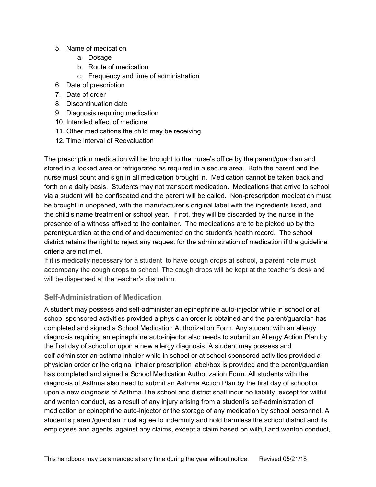- 5. Name of medication
	- a. Dosage
	- b. Route of medication
	- c. Frequency and time of administration
- 6. Date of prescription
- 7. Date of order
- 8. Discontinuation date
- 9. Diagnosis requiring medication
- 10. Intended effect of medicine
- 11. Other medications the child may be receiving
- 12. Time interval of Reevaluation

The prescription medication will be brought to the nurse's office by the parent/guardian and stored in a locked area or refrigerated as required in a secure area. Both the parent and the nurse must count and sign in all medication brought in. Medication cannot be taken back and forth on a daily basis. Students may not transport medication. Medications that arrive to school via a student will be confiscated and the parent will be called. Non-prescription medication must be brought in unopened, with the manufacturer's original label with the ingredients listed, and the child's name treatment or school year. If not, they will be discarded by the nurse in the presence of a witness affixed to the container. The medications are to be picked up by the parent/guardian at the end of and documented on the student's health record. The school district retains the right to reject any request for the administration of medication if the guideline criteria are not met.

If it is medically necessary for a student to have cough drops at school, a parent note must accompany the cough drops to school. The cough drops will be kept at the teacher's desk and will be dispensed at the teacher's discretion.

#### <span id="page-26-0"></span>**Self-Administration of Medication**

A student may possess and self-administer an epinephrine auto-injector while in school or at school sponsored activities provided a physician order is obtained and the parent/guardian has completed and signed a School Medication Authorization Form. Any student with an allergy diagnosis requiring an epinephrine auto-injector also needs to submit an Allergy Action Plan by the first day of school or upon a new allergy diagnosis. A student may possess and self-administer an asthma inhaler while in school or at school sponsored activities provided a physician order or the original inhaler prescription label/box is provided and the parent/guardian has completed and signed a School Medication Authorization Form. All students with the diagnosis of Asthma also need to submit an Asthma Action Plan by the first day of school or upon a new diagnosis of Asthma.The school and district shall incur no liability, except for willful and wanton conduct, as a result of any injury arising from a student's self-administration of medication or epinephrine auto-injector or the storage of any medication by school personnel. A student's parent/guardian must agree to indemnify and hold harmless the school district and its employees and agents, against any claims, except a claim based on willful and wanton conduct,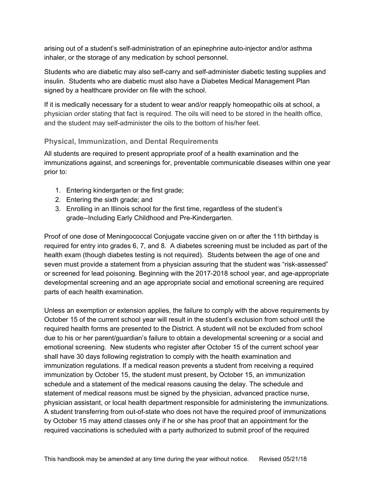arising out of a student's self-administration of an epinephrine auto-injector and/or asthma inhaler, or the storage of any medication by school personnel.

Students who are diabetic may also self-carry and self-administer diabetic testing supplies and insulin. Students who are diabetic must also have a Diabetes Medical Management Plan signed by a healthcare provider on file with the school.

If it is medically necessary for a student to wear and/or reapply homeopathic oils at school, a physician order stating that fact is required. The oils will need to be stored in the health office, and the student may self-administer the oils to the bottom of his/her feet.

#### <span id="page-27-0"></span>**Physical, Immunization, and Dental Requirements**

All students are required to present appropriate proof of a health examination and the immunizations against, and screenings for, preventable communicable diseases within one year prior to:

- 1. Entering kindergarten or the first grade;
- 2. Entering the sixth grade; and
- 3. Enrolling in an Illinois school for the first time, regardless of the student's grade--Including Early Childhood and Pre-Kindergarten.

Proof of one dose of Meningococcal Conjugate vaccine given on or after the 11th birthday is required for entry into grades 6, 7, and 8. A diabetes screening must be included as part of the health exam (though diabetes testing is not required). Students between the age of one and seven must provide a statement from a physician assuring that the student was "risk-assessed" or screened for lead poisoning. Beginning with the 2017-2018 school year, and age-appropriate developmental screening and an age appropriate social and emotional screening are required parts of each health examination.

Unless an exemption or extension applies, the failure to comply with the above requirements by October 15 of the current school year will result in the student's exclusion from school until the required health forms are presented to the District. A student will not be excluded from school due to his or her parent/guardian's failure to obtain a developmental screening or a social and emotional screening. New students who register after October 15 of the current school year shall have 30 days following registration to comply with the health examination and immunization regulations. If a medical reason prevents a student from receiving a required immunization by October 15, the student must present, by October 15, an immunization schedule and a statement of the medical reasons causing the delay. The schedule and statement of medical reasons must be signed by the physician, advanced practice nurse, physician assistant, or local health department responsible for administering the immunizations. A student transferring from out-of-state who does not have the required proof of immunizations by October 15 may attend classes only if he or she has proof that an appointment for the required vaccinations is scheduled with a party authorized to submit proof of the required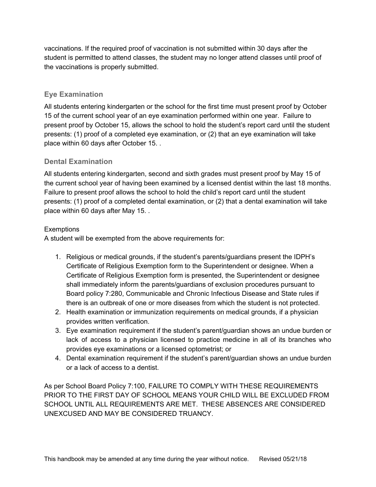vaccinations. If the required proof of vaccination is not submitted within 30 days after the student is permitted to attend classes, the student may no longer attend classes until proof of the vaccinations is properly submitted.

#### <span id="page-28-0"></span>**Eye Examination**

All students entering kindergarten or the school for the first time must present proof by October 15 of the current school year of an eye examination performed within one year. Failure to present proof by October 15, allows the school to hold the student's report card until the student presents: (1) proof of a completed eye examination, or (2) that an eye examination will take place within 60 days after October 15. .

#### <span id="page-28-1"></span>**Dental Examination**

All students entering kindergarten, second and sixth grades must present proof by May 15 of the current school year of having been examined by a licensed dentist within the last 18 months. Failure to present proof allows the school to hold the child's report card until the student presents: (1) proof of a completed dental examination, or (2) that a dental examination will take place within 60 days after May 15. .

#### **Exemptions**

A student will be exempted from the above requirements for:

- 1. Religious or medical grounds, if the student's parents/guardians present the IDPH's Certificate of Religious Exemption form to the Superintendent or designee. When a Certificate of Religious Exemption form is presented, the Superintendent or designee shall immediately inform the parents/guardians of exclusion procedures pursuant to Board policy 7:280, Communicable and Chronic Infectious Disease and State rules if there is an outbreak of one or more diseases from which the student is not protected.
- 2. Health examination or immunization requirements on medical grounds, if a physician provides written verification.
- 3. Eye examination requirement if the student's parent/guardian shows an undue burden or lack of access to a physician licensed to practice medicine in all of its branches who provides eye examinations or a licensed optometrist; or
- 4. Dental examination requirement if the student's parent/guardian shows an undue burden or a lack of access to a dentist.

As per School Board Policy 7:100, FAILURE TO COMPLY WITH THESE REQUIREMENTS PRIOR TO THE FIRST DAY OF SCHOOL MEANS YOUR CHILD WILL BE EXCLUDED FROM SCHOOL UNTIL ALL REQUIREMENTS ARE MET. THESE ABSENCES ARE CONSIDERED UNEXCUSED AND MAY BE CONSIDERED TRUANCY.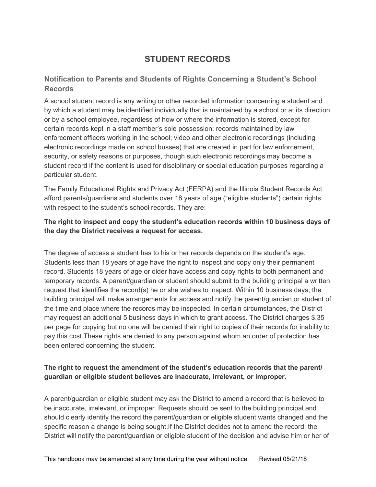# **STUDENT RECORDS**

#### <span id="page-29-0"></span>**Notification to Parents and Students of Rights Concerning a Student's School Records**

A school student record is any writing or other recorded information concerning a student and by which a student may be identified individually that is maintained by a school or at its direction or by a school employee, regardless of how or where the information is stored, except for certain records kept in a staff member's sole possession; records maintained by law enforcement officers working in the school; video and other electronic recordings (including electronic recordings made on school busses) that are created in part for law enforcement, security, or safety reasons or purposes, though such electronic recordings may become a student record if the content is used for disciplinary or special education purposes regarding a particular student.

The Family Educational Rights and Privacy Act (FERPA) and the Illinois Student Records Act afford parents/guardians and students over 18 years of age ("eligible students") certain rights with respect to the student's school records. They are:

#### **The right to inspect and copy the student's education records within 10 business days of the day the District receives a request for access.**

The degree of access a student has to his or her records depends on the student's age. Students less than 18 years of age have the right to inspect and copy only their permanent record. Students 18 years of age or older have access and copy rights to both permanent and temporary records. A parent/guardian or student should submit to the building principal a written request that identifies the record(s) he or she wishes to inspect. Within 10 business days, the building principal will make arrangements for access and notify the parent/guardian or student of the time and place where the records may be inspected. In certain circumstances, the District may request an additional 5 business days in which to grant access. The District charges \$.35 per page for copying but no one will be denied their right to copies of their records for inability to pay this cost.These rights are denied to any person against whom an order of protection has been entered concerning the student.

#### **The right to request the amendment of the student's education records that the parent/ guardian or eligible student believes are inaccurate, irrelevant, or improper.**

A parent/guardian or eligible student may ask the District to amend a record that is believed to be inaccurate, irrelevant, or improper. Requests should be sent to the building principal and should clearly identify the record the parent/guardian or eligible student wants changed and the specific reason a change is being sought.If the District decides not to amend the record, the District will notify the parent/guardian or eligible student of the decision and advise him or her of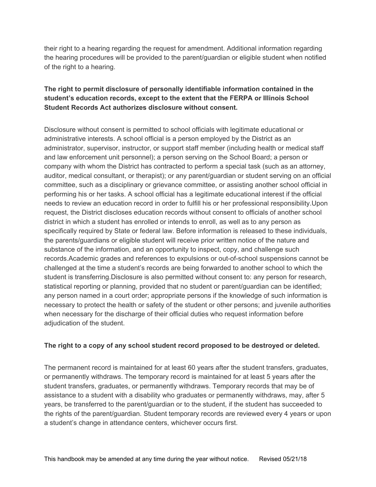their right to a hearing regarding the request for amendment. Additional information regarding the hearing procedures will be provided to the parent/guardian or eligible student when notified of the right to a hearing.

#### **The right to permit disclosure of personally identifiable information contained in the student's education records, except to the extent that the FERPA or Illinois School Student Records Act authorizes disclosure without consent.**

Disclosure without consent is permitted to school officials with legitimate educational or administrative interests. A school official is a person employed by the District as an administrator, supervisor, instructor, or support staff member (including health or medical staff and law enforcement unit personnel); a person serving on the School Board; a person or company with whom the District has contracted to perform a special task (such as an attorney, auditor, medical consultant, or therapist); or any parent/guardian or student serving on an official committee, such as a disciplinary or grievance committee, or assisting another school official in performing his or her tasks. A school official has a legitimate educational interest if the official needs to review an education record in order to fulfill his or her professional responsibility.Upon request, the District discloses education records without consent to officials of another school district in which a student has enrolled or intends to enroll, as well as to any person as specifically required by State or federal law. Before information is released to these individuals, the parents/guardians or eligible student will receive prior written notice of the nature and substance of the information, and an opportunity to inspect, copy, and challenge such records.Academic grades and references to expulsions or out-of-school suspensions cannot be challenged at the time a student's records are being forwarded to another school to which the student is transferring.Disclosure is also permitted without consent to: any person for research, statistical reporting or planning, provided that no student or parent/guardian can be identified; any person named in a court order; appropriate persons if the knowledge of such information is necessary to protect the health or safety of the student or other persons; and juvenile authorities when necessary for the discharge of their official duties who request information before adjudication of the student.

#### **The right to a copy of any school student record proposed to be destroyed or deleted.**

The permanent record is maintained for at least 60 years after the student transfers, graduates, or permanently withdraws. The temporary record is maintained for at least 5 years after the student transfers, graduates, or permanently withdraws. Temporary records that may be of assistance to a student with a disability who graduates or permanently withdraws, may, after 5 years, be transferred to the parent/guardian or to the student, if the student has succeeded to the rights of the parent/guardian. Student temporary records are reviewed every 4 years or upon a student's change in attendance centers, whichever occurs first.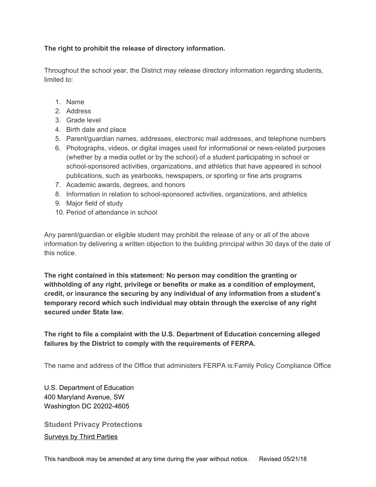#### **The right to prohibit the release of directory information.**

Throughout the school year, the District may release directory information regarding students, limited to:

- 1. Name
- 2. Address
- 3. Grade level
- 4. Birth date and place
- 5. Parent/guardian names, addresses, electronic mail addresses, and telephone numbers
- 6. Photographs, videos, or digital images used for informational or news-related purposes (whether by a media outlet or by the school) of a student participating in school or school-sponsored activities, organizations, and athletics that have appeared in school publications, such as yearbooks, newspapers, or sporting or fine arts programs
- 7. Academic awards, degrees, and honors
- 8. Information in relation to school-sponsored activities, organizations, and athletics
- 9. Major field of study
- 10. Period of attendance in school

Any parent/guardian or eligible student may prohibit the release of any or all of the above information by delivering a written objection to the building principal within 30 days of the date of this notice.

**The right contained in this statement: No person may condition the granting or withholding of any right, privilege or benefits or make as a condition of employment, credit, or insurance the securing by any individual of any information from a student's temporary record which such individual may obtain through the exercise of any right secured under State law.**

**The right to file a complaint with the U.S. Department of Education concerning alleged failures by the District to comply with the requirements of FERPA.**

The name and address of the Office that administers FERPA is:Family Policy Compliance Office

U.S. Department of Education 400 Maryland Avenue, SW Washington DC 20202-4605

<span id="page-31-0"></span>**Student Privacy Protections** Surveys by Third Parties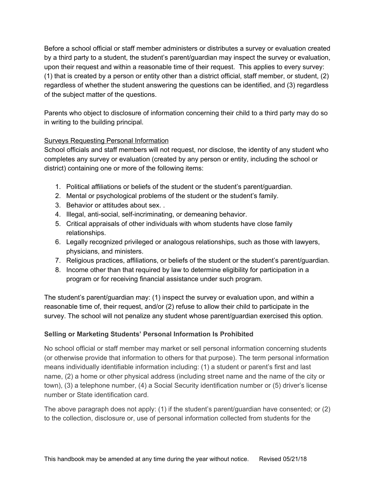Before a school official or staff member administers or distributes a survey or evaluation created by a third party to a student, the student's parent/guardian may inspect the survey or evaluation, upon their request and within a reasonable time of their request. This applies to every survey: (1) that is created by a person or entity other than a district official, staff member, or student, (2) regardless of whether the student answering the questions can be identified, and (3) regardless of the subject matter of the questions.

Parents who object to disclosure of information concerning their child to a third party may do so in writing to the building principal.

#### Surveys Requesting Personal Information

School officials and staff members will not request, nor disclose, the identity of any student who completes any survey or evaluation (created by any person or entity, including the school or district) containing one or more of the following items:

- 1. Political affiliations or beliefs of the student or the student's parent/guardian.
- 2. Mental or psychological problems of the student or the student's family.
- 3. Behavior or attitudes about sex. .
- 4. Illegal, anti-social, self-incriminating, or demeaning behavior.
- 5. Critical appraisals of other individuals with whom students have close family relationships.
- 6. Legally recognized privileged or analogous relationships, such as those with lawyers, physicians, and ministers.
- 7. Religious practices, affiliations, or beliefs of the student or the student's parent/guardian.
- 8. Income other than that required by law to determine eligibility for participation in a program or for receiving financial assistance under such program.

The student's parent/guardian may: (1) inspect the survey or evaluation upon, and within a reasonable time of, their request, and/or (2) refuse to allow their child to participate in the survey. The school will not penalize any student whose parent/guardian exercised this option.

#### **Selling or Marketing Students' Personal Information Is Prohibited**

No school official or staff member may market or sell personal information concerning students (or otherwise provide that information to others for that purpose). The term personal information means individually identifiable information including: (1) a student or parent's first and last name, (2) a home or other physical address (including street name and the name of the city or town), (3) a telephone number, (4) a Social Security identification number or (5) driver's license number or State identification card.

The above paragraph does not apply: (1) if the student's parent/guardian have consented; or (2) to the collection, disclosure or, use of personal information collected from students for the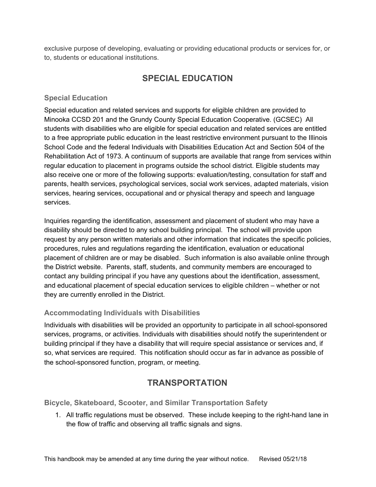<span id="page-33-0"></span>exclusive purpose of developing, evaluating or providing educational products or services for, or to, students or educational institutions.

# **SPECIAL EDUCATION**

#### <span id="page-33-1"></span>**Special Education**

Special education and related services and supports for eligible children are provided to Minooka CCSD 201 and the Grundy County Special Education Cooperative. (GCSEC) All students with disabilities who are eligible for special education and related services are entitled to a free appropriate public education in the least restrictive environment pursuant to the Illinois School Code and the federal Individuals with Disabilities Education Act and Section 504 of the Rehabilitation Act of 1973. A continuum of supports are available that range from services within regular education to placement in programs outside the school district. Eligible students may also receive one or more of the following supports: evaluation/testing, consultation for staff and parents, health services, psychological services, social work services, adapted materials, vision services, hearing services, occupational and or physical therapy and speech and language services.

Inquiries regarding the identification, assessment and placement of student who may have a disability should be directed to any school building principal. The school will provide upon request by any person written materials and other information that indicates the specific policies, procedures, rules and regulations regarding the identification, evaluation or educational placement of children are or may be disabled. Such information is also available online through the District website. Parents, staff, students, and community members are encouraged to contact any building principal if you have any questions about the identification, assessment, and educational placement of special education services to eligible children – whether or not they are currently enrolled in the District.

#### <span id="page-33-2"></span>**Accommodating Individuals with Disabilities**

Individuals with disabilities will be provided an opportunity to participate in all school-sponsored services, programs, or activities. Individuals with disabilities should notify the superintendent or building principal if they have a disability that will require special assistance or services and, if so, what services are required. This notification should occur as far in advance as possible of the school-sponsored function, program, or meeting.

# **TRANSPORTATION**

<span id="page-33-4"></span><span id="page-33-3"></span>**Bicycle, Skateboard, Scooter, and Similar Transportation Safety**

1. All traffic regulations must be observed. These include keeping to the right-hand lane in the flow of traffic and observing all traffic signals and signs.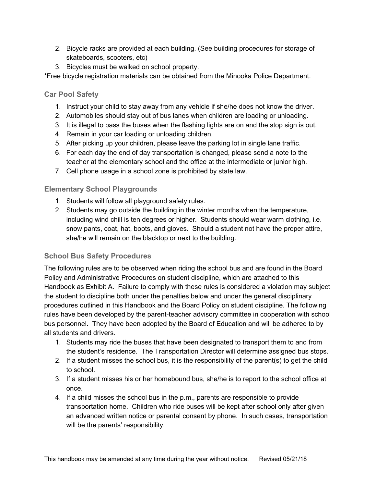- 2. Bicycle racks are provided at each building. (See building procedures for storage of skateboards, scooters, etc)
- 3. Bicycles must be walked on school property.

<span id="page-34-0"></span>\*Free bicycle registration materials can be obtained from the Minooka Police Department.

#### **Car Pool Safety**

- 1. Instruct your child to stay away from any vehicle if she/he does not know the driver.
- 2. Automobiles should stay out of bus lanes when children are loading or unloading.
- 3. It is illegal to pass the buses when the flashing lights are on and the stop sign is out.
- 4. Remain in your car loading or unloading children.
- 5. After picking up your children, please leave the parking lot in single lane traffic.
- 6. For each day the end of day transportation is changed, please send a note to the teacher at the elementary school and the office at the intermediate or junior high.
- 7. Cell phone usage in a school zone is prohibited by state law.

#### <span id="page-34-1"></span>**Elementary School Playgrounds**

- 1. Students will follow all playground safety rules.
- 2. Students may go outside the building in the winter months when the temperature, including wind chill is ten degrees or higher. Students should wear warm clothing, i.e. snow pants, coat, hat, boots, and gloves. Should a student not have the proper attire, she/he will remain on the blacktop or next to the building.

#### <span id="page-34-2"></span>**School Bus Safety Procedures**

The following rules are to be observed when riding the school bus and are found in the Board Policy and Administrative Procedures on student discipline, which are attached to this Handbook as Exhibit A. Failure to comply with these rules is considered a violation may subject the student to discipline both under the penalties below and under the general disciplinary procedures outlined in this Handbook and the Board Policy on student discipline. The following rules have been developed by the parent-teacher advisory committee in cooperation with school bus personnel. They have been adopted by the Board of Education and will be adhered to by all students and drivers.

- 1. Students may ride the buses that have been designated to transport them to and from the student's residence. The Transportation Director will determine assigned bus stops.
- 2. If a student misses the school bus, it is the responsibility of the parent(s) to get the child to school.
- 3. If a student misses his or her homebound bus, she/he is to report to the school office at once.
- 4. If a child misses the school bus in the p.m., parents are responsible to provide transportation home. Children who ride buses will be kept after school only after given an advanced written notice or parental consent by phone. In such cases, transportation will be the parents' responsibility.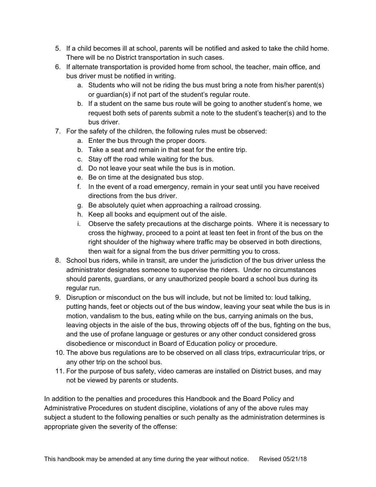- 5. If a child becomes ill at school, parents will be notified and asked to take the child home. There will be no District transportation in such cases.
- 6. If alternate transportation is provided home from school, the teacher, main office, and bus driver must be notified in writing.
	- a. Students who will not be riding the bus must bring a note from his/her parent(s) or guardian(s) if not part of the student's regular route.
	- b. If a student on the same bus route will be going to another student's home, we request both sets of parents submit a note to the student's teacher(s) and to the bus driver.
- 7. For the safety of the children, the following rules must be observed:
	- a. Enter the bus through the proper doors.
	- b. Take a seat and remain in that seat for the entire trip.
	- c. Stay off the road while waiting for the bus.
	- d. Do not leave your seat while the bus is in motion.
	- e. Be on time at the designated bus stop.
	- f. In the event of a road emergency, remain in your seat until you have received directions from the bus driver.
	- g. Be absolutely quiet when approaching a railroad crossing.
	- h. Keep all books and equipment out of the aisle.
	- i. Observe the safety precautions at the discharge points. Where it is necessary to cross the highway, proceed to a point at least ten feet in front of the bus on the right shoulder of the highway where traffic may be observed in both directions, then wait for a signal from the bus driver permitting you to cross.
- 8. School bus riders, while in transit, are under the jurisdiction of the bus driver unless the administrator designates someone to supervise the riders. Under no circumstances should parents, guardians, or any unauthorized people board a school bus during its regular run.
- 9. Disruption or misconduct on the bus will include, but not be limited to: loud talking, putting hands, feet or objects out of the bus window, leaving your seat while the bus is in motion, vandalism to the bus, eating while on the bus, carrying animals on the bus, leaving objects in the aisle of the bus, throwing objects off of the bus, fighting on the bus, and the use of profane language or gestures or any other conduct considered gross disobedience or misconduct in Board of Education policy or procedure.
- 10. The above bus regulations are to be observed on all class trips, extracurricular trips, or any other trip on the school bus.
- 11. For the purpose of bus safety, video cameras are installed on District buses, and may not be viewed by parents or students.

In addition to the penalties and procedures this Handbook and the Board Policy and Administrative Procedures on student discipline, violations of any of the above rules may subject a student to the following penalties or such penalty as the administration determines is appropriate given the severity of the offense: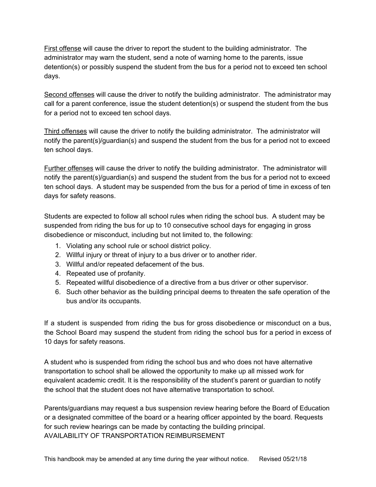First offense will cause the driver to report the student to the building administrator. The administrator may warn the student, send a note of warning home to the parents, issue detention(s) or possibly suspend the student from the bus for a period not to exceed ten school days.

Second offenses will cause the driver to notify the building administrator. The administrator may call for a parent conference, issue the student detention(s) or suspend the student from the bus for a period not to exceed ten school days.

Third offenses will cause the driver to notify the building administrator. The administrator will notify the parent(s)/guardian(s) and suspend the student from the bus for a period not to exceed ten school days.

Further offenses will cause the driver to notify the building administrator. The administrator will notify the parent(s)/guardian(s) and suspend the student from the bus for a period not to exceed ten school days. A student may be suspended from the bus for a period of time in excess of ten days for safety reasons.

Students are expected to follow all school rules when riding the school bus. A student may be suspended from riding the bus for up to 10 consecutive school days for engaging in gross disobedience or misconduct, including but not limited to, the following:

- 1. Violating any school rule or school district policy.
- 2. Willful injury or threat of injury to a bus driver or to another rider.
- 3. Willful and/or repeated defacement of the bus.
- 4. Repeated use of profanity.
- 5. Repeated willful disobedience of a directive from a bus driver or other supervisor.
- 6. Such other behavior as the building principal deems to threaten the safe operation of the bus and/or its occupants.

If a student is suspended from riding the bus for gross disobedience or misconduct on a bus, the School Board may suspend the student from riding the school bus for a period in excess of 10 days for safety reasons.

A student who is suspended from riding the school bus and who does not have alternative transportation to school shall be allowed the opportunity to make up all missed work for equivalent academic credit. It is the responsibility of the student's parent or guardian to notify the school that the student does not have alternative transportation to school.

Parents/guardians may request a bus suspension review hearing before the Board of Education or a designated committee of the board or a hearing officer appointed by the board. Requests for such review hearings can be made by contacting the building principal. AVAILABILITY OF TRANSPORTATION REIMBURSEMENT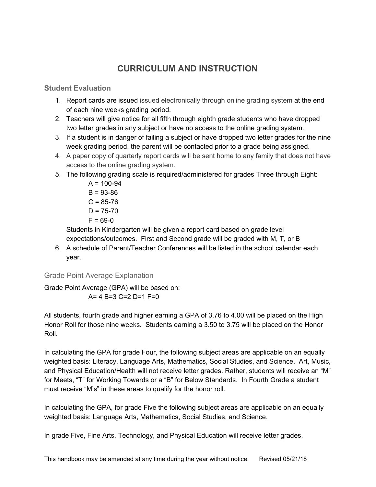# **CURRICULUM AND INSTRUCTION**

#### <span id="page-37-1"></span><span id="page-37-0"></span>**Student Evaluation**

- 1. Report cards are issued issued electronically through online grading system at the end of each nine weeks grading period.
- 2. Teachers will give notice for all fifth through eighth grade students who have dropped two letter grades in any subject or have no access to the online grading system.
- 3. If a student is in danger of failing a subject or have dropped two letter grades for the nine week grading period, the parent will be contacted prior to a grade being assigned.
- 4. A paper copy of quarterly report cards will be sent home to any family that does not have access to the online grading system.
- 5. The following grading scale is required/administered for grades Three through Eight:
	- $A = 100 94$  $B = 93-86$  $C = 85 - 76$  $D = 75 - 70$  $F = 69 - 0$

Students in Kindergarten will be given a report card based on grade level expectations/outcomes. First and Second grade will be graded with M, T, or B

6. A schedule of Parent/Teacher Conferences will be listed in the school calendar each year.

#### <span id="page-37-2"></span>Grade Point Average Explanation

Grade Point Average (GPA) will be based on:  $A= 4 B=3 C=2 D=1 F=0$ 

All students, fourth grade and higher earning a GPA of 3.76 to 4.00 will be placed on the High Honor Roll for those nine weeks. Students earning a 3.50 to 3.75 will be placed on the Honor Roll.

In calculating the GPA for grade Four, the following subject areas are applicable on an equally weighted basis: Literacy, Language Arts, Mathematics, Social Studies, and Science. Art, Music, and Physical Education/Health will not receive letter grades. Rather, students will receive an "M" for Meets, "T" for Working Towards or a "B" for Below Standards. In Fourth Grade a student must receive "M's" in these areas to qualify for the honor roll.

In calculating the GPA, for grade Five the following subject areas are applicable on an equally weighted basis: Language Arts, Mathematics, Social Studies, and Science.

In grade Five, Fine Arts, Technology, and Physical Education will receive letter grades.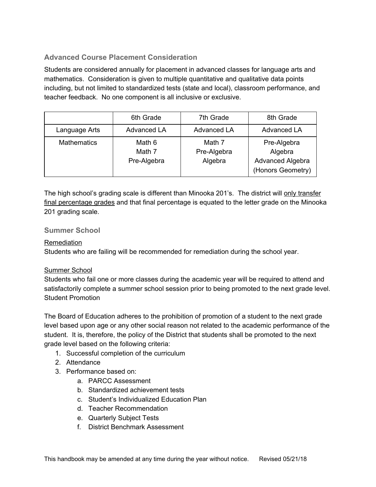### <span id="page-38-0"></span>**Advanced Course Placement Consideration**

Students are considered annually for placement in advanced classes for language arts and mathematics. Consideration is given to multiple quantitative and qualitative data points including, but not limited to standardized tests (state and local), classroom performance, and teacher feedback. No one component is all inclusive or exclusive.

|                    | 6th Grade                       | 7th Grade                        | 8th Grade                                                       |
|--------------------|---------------------------------|----------------------------------|-----------------------------------------------------------------|
| Language Arts      | <b>Advanced LA</b>              | <b>Advanced LA</b>               | Advanced LA                                                     |
| <b>Mathematics</b> | Math 6<br>Math 7<br>Pre-Algebra | Math 7<br>Pre-Algebra<br>Algebra | Pre-Algebra<br>Algebra<br>Advanced Algebra<br>(Honors Geometry) |

The high school's grading scale is different than Minooka 201's. The district will only transfer final percentage grades and that final percentage is equated to the letter grade on the Minooka 201 grading scale.

#### <span id="page-38-1"></span>**Summer School**

#### Remediation

Students who are failing will be recommended for remediation during the school year.

#### Summer School

Students who fail one or more classes during the academic year will be required to attend and satisfactorily complete a summer school session prior to being promoted to the next grade level. Student Promotion

The Board of Education adheres to the prohibition of promotion of a student to the next grade level based upon age or any other social reason not related to the academic performance of the student. It is, therefore, the policy of the District that students shall be promoted to the next grade level based on the following criteria:

- 1. Successful completion of the curriculum
- 2. Attendance
- 3. Performance based on:
	- a. PARCC Assessment
	- b. Standardized achievement tests
	- c. Student's Individualized Education Plan
	- d. Teacher Recommendation
	- e. Quarterly Subject Tests
	- f. District Benchmark Assessment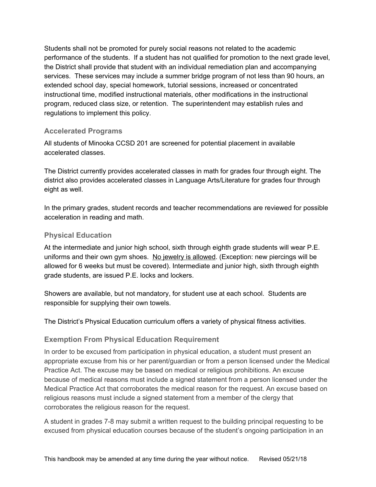Students shall not be promoted for purely social reasons not related to the academic performance of the students. If a student has not qualified for promotion to the next grade level, the District shall provide that student with an individual remediation plan and accompanying services. These services may include a summer bridge program of not less than 90 hours, an extended school day, special homework, tutorial sessions, increased or concentrated instructional time, modified instructional materials, other modifications in the instructional program, reduced class size, or retention. The superintendent may establish rules and regulations to implement this policy.

#### <span id="page-39-0"></span>**Accelerated Programs**

All students of Minooka CCSD 201 are screened for potential placement in available accelerated classes.

The District currently provides accelerated classes in math for grades four through eight. The district also provides accelerated classes in Language Arts/Literature for grades four through eight as well.

In the primary grades, student records and teacher recommendations are reviewed for possible acceleration in reading and math.

### <span id="page-39-1"></span>**Physical Education**

At the intermediate and junior high school, sixth through eighth grade students will wear P.E. uniforms and their own gym shoes. No jewelry is allowed. (Exception: new piercings will be allowed for 6 weeks but must be covered). Intermediate and junior high, sixth through eighth grade students, are issued P.E. locks and lockers.

Showers are available, but not mandatory, for student use at each school. Students are responsible for supplying their own towels.

The District's Physical Education curriculum offers a variety of physical fitness activities.

#### <span id="page-39-2"></span>**Exemption From Physical Education Requirement**

In order to be excused from participation in physical education, a student must present an appropriate excuse from his or her parent/guardian or from a person licensed under the Medical Practice Act. The excuse may be based on medical or religious prohibitions. An excuse because of medical reasons must include a signed statement from a person licensed under the Medical Practice Act that corroborates the medical reason for the request. An excuse based on religious reasons must include a signed statement from a member of the clergy that corroborates the religious reason for the request.

A student in grades 7-8 may submit a written request to the building principal requesting to be excused from physical education courses because of the student's ongoing participation in an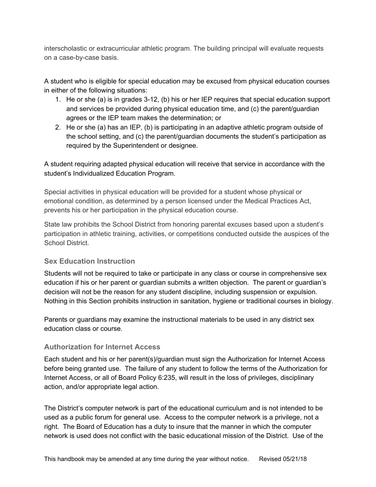interscholastic or extracurricular athletic program. The building principal will evaluate requests on a case-by-case basis.

A student who is eligible for special education may be excused from physical education courses in either of the following situations:

- 1. He or she (a) is in grades 3-12, (b) his or her IEP requires that special education support and services be provided during physical education time, and (c) the parent/guardian agrees or the IEP team makes the determination; or
- 2. He or she (a) has an IEP, (b) is participating in an adaptive athletic program outside of the school setting, and (c) the parent/guardian documents the student's participation as required by the Superintendent or designee.

A student requiring adapted physical education will receive that service in accordance with the student's Individualized Education Program.

Special activities in physical education will be provided for a student whose physical or emotional condition, as determined by a person licensed under the Medical Practices Act, prevents his or her participation in the physical education course.

State law prohibits the School District from honoring parental excuses based upon a student's participation in athletic training, activities, or competitions conducted outside the auspices of the School District.

#### <span id="page-40-0"></span>**Sex Education Instruction**

Students will not be required to take or participate in any class or course in comprehensive sex education if his or her parent or guardian submits a written objection. The parent or guardian's decision will not be the reason for any student discipline, including suspension or expulsion. Nothing in this Section prohibits instruction in sanitation, hygiene or traditional courses in biology.

Parents or guardians may examine the instructional materials to be used in any district sex education class or course.

#### <span id="page-40-1"></span>**Authorization for Internet Access**

Each student and his or her parent(s)/guardian must sign the Authorization for Internet Access before being granted use. The failure of any student to follow the terms of the Authorization for Internet Access, or all of Board Policy 6:235, will result in the loss of privileges, disciplinary action, and/or appropriate legal action.

The District's computer network is part of the educational curriculum and is not intended to be used as a public forum for general use. Access to the computer network is a privilege, not a right. The Board of Education has a duty to insure that the manner in which the computer network is used does not conflict with the basic educational mission of the District. Use of the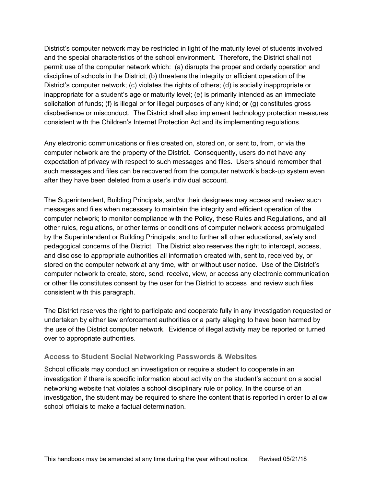District's computer network may be restricted in light of the maturity level of students involved and the special characteristics of the school environment. Therefore, the District shall not permit use of the computer network which: (a) disrupts the proper and orderly operation and discipline of schools in the District; (b) threatens the integrity or efficient operation of the District's computer network; (c) violates the rights of others; (d) is socially inappropriate or inappropriate for a student's age or maturity level; (e) is primarily intended as an immediate solicitation of funds; (f) is illegal or for illegal purposes of any kind; or (g) constitutes gross disobedience or misconduct. The District shall also implement technology protection measures consistent with the Children's Internet Protection Act and its implementing regulations.

Any electronic communications or files created on, stored on, or sent to, from, or via the computer network are the property of the District. Consequently, users do not have any expectation of privacy with respect to such messages and files. Users should remember that such messages and files can be recovered from the computer network's back-up system even after they have been deleted from a user's individual account.

The Superintendent, Building Principals, and/or their designees may access and review such messages and files when necessary to maintain the integrity and efficient operation of the computer network; to monitor compliance with the Policy, these Rules and Regulations, and all other rules, regulations, or other terms or conditions of computer network access promulgated by the Superintendent or Building Principals; and to further all other educational, safety and pedagogical concerns of the District. The District also reserves the right to intercept, access, and disclose to appropriate authorities all information created with, sent to, received by, or stored on the computer network at any time, with or without user notice. Use of the District's computer network to create, store, send, receive, view, or access any electronic communication or other file constitutes consent by the user for the District to access and review such files consistent with this paragraph.

The District reserves the right to participate and cooperate fully in any investigation requested or undertaken by either law enforcement authorities or a party alleging to have been harmed by the use of the District computer network. Evidence of illegal activity may be reported or turned over to appropriate authorities.

#### <span id="page-41-0"></span>**Access to Student Social Networking Passwords & Websites**

School officials may conduct an investigation or require a student to cooperate in an investigation if there is specific information about activity on the student's account on a social networking website that violates a school disciplinary rule or policy. In the course of an investigation, the student may be required to share the content that is reported in order to allow school officials to make a factual determination.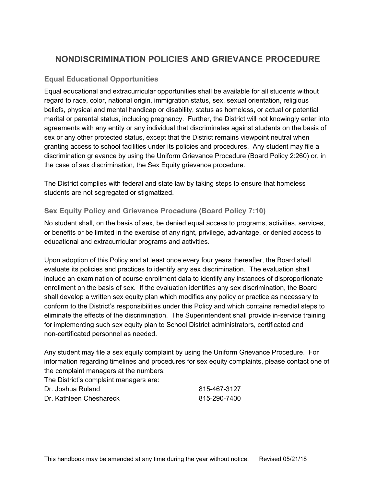# <span id="page-42-0"></span>**NONDISCRIMINATION POLICIES AND GRIEVANCE PROCEDURE**

#### <span id="page-42-1"></span>**Equal Educational Opportunities**

Equal educational and extracurricular opportunities shall be available for all students without regard to race, color, national origin, immigration status, sex, sexual orientation, religious beliefs, physical and mental handicap or disability, status as homeless, or actual or potential marital or parental status, including pregnancy. Further, the District will not knowingly enter into agreements with any entity or any individual that discriminates against students on the basis of sex or any other protected status, except that the District remains viewpoint neutral when granting access to school facilities under its policies and procedures. Any student may file a discrimination grievance by using the Uniform Grievance Procedure (Board Policy 2:260) or, in the case of sex discrimination, the Sex Equity grievance procedure.

The District complies with federal and state law by taking steps to ensure that homeless students are not segregated or stigmatized.

#### <span id="page-42-2"></span>**Sex Equity Policy and Grievance Procedure (Board Policy 7:10)**

No student shall, on the basis of sex, be denied equal access to programs, activities, services, or benefits or be limited in the exercise of any right, privilege, advantage, or denied access to educational and extracurricular programs and activities.

Upon adoption of this Policy and at least once every four years thereafter, the Board shall evaluate its policies and practices to identify any sex discrimination. The evaluation shall include an examination of course enrollment data to identify any instances of disproportionate enrollment on the basis of sex. If the evaluation identifies any sex discrimination, the Board shall develop a written sex equity plan which modifies any policy or practice as necessary to conform to the District's responsibilities under this Policy and which contains remedial steps to eliminate the effects of the discrimination. The Superintendent shall provide in-service training for implementing such sex equity plan to School District administrators, certificated and non-certificated personnel as needed.

Any student may file a sex equity complaint by using the Uniform Grievance Procedure. For information regarding timelines and procedures for sex equity complaints, please contact one of the complaint managers at the numbers:

The District's complaint managers are:

| Dr. Joshua Ruland       | 815-467-3127 |
|-------------------------|--------------|
| Dr. Kathleen Cheshareck | 815-290-7400 |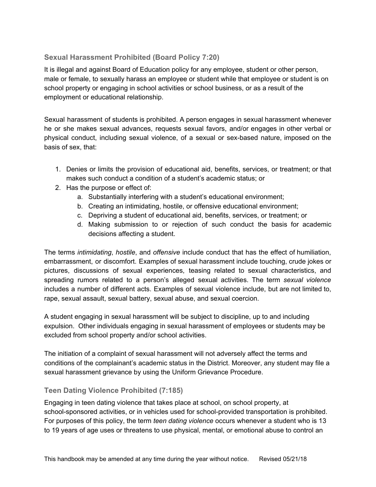### <span id="page-43-0"></span>**Sexual Harassment Prohibited (Board Policy 7:20)**

It is illegal and against Board of Education policy for any employee, student or other person, male or female, to sexually harass an employee or student while that employee or student is on school property or engaging in school activities or school business, or as a result of the employment or educational relationship.

Sexual harassment of students is prohibited. A person engages in sexual harassment whenever he or she makes sexual advances, requests sexual favors, and/or engages in other verbal or physical conduct, including sexual violence, of a sexual or sex-based nature, imposed on the basis of sex, that:

- 1. Denies or limits the provision of educational aid, benefits, services, or treatment; or that makes such conduct a condition of a student's academic status; or
- 2. Has the purpose or effect of:
	- a. Substantially interfering with a student's educational environment;
	- b. Creating an intimidating, hostile, or offensive educational environment;
	- c. Depriving a student of educational aid, benefits, services, or treatment; or
	- d. Making submission to or rejection of such conduct the basis for academic decisions affecting a student.

The terms *intimidating*, *hostile*, and *offensive* include conduct that has the effect of humiliation, embarrassment, or discomfort. Examples of sexual harassment include touching, crude jokes or pictures, discussions of sexual experiences, teasing related to sexual characteristics, and spreading rumors related to a person's alleged sexual activities. The term *sexual violence* includes a number of different acts. Examples of sexual violence include, but are not limited to, rape, sexual assault, sexual battery, sexual abuse, and sexual coercion.

A student engaging in sexual harassment will be subject to discipline, up to and including expulsion. Other individuals engaging in sexual harassment of employees or students may be excluded from school property and/or school activities.

The initiation of a complaint of sexual harassment will not adversely affect the terms and conditions of the complainant's academic status in the District. Moreover, any student may file a sexual harassment grievance by using the Uniform Grievance Procedure.

#### <span id="page-43-1"></span>**Teen Dating Violence Prohibited (7:185)**

Engaging in teen dating violence that takes place at school, on school property, at school-sponsored activities, or in vehicles used for school-provided transportation is prohibited. For purposes of this policy, the term *teen dating violence* occurs whenever a student who is 13 to 19 years of age uses or threatens to use physical, mental, or emotional abuse to control an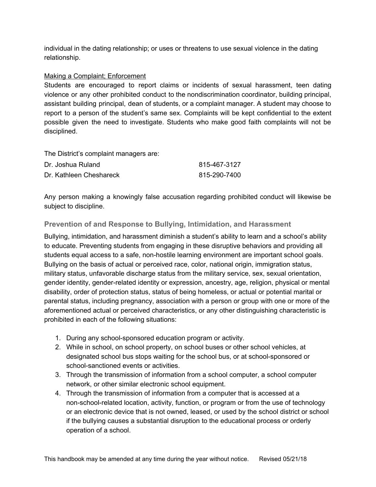individual in the dating relationship; or uses or threatens to use sexual violence in the dating relationship.

#### Making a Complaint; Enforcement

Students are encouraged to report claims or incidents of sexual harassment, teen dating violence or any other prohibited conduct to the nondiscrimination coordinator, building principal, assistant building principal, dean of students, or a complaint manager. A student may choose to report to a person of the student's same sex. Complaints will be kept confidential to the extent possible given the need to investigate. Students who make good faith complaints will not be disciplined.

The District's complaint managers are:

| Dr. Joshua Ruland       | 815-467-3127 |
|-------------------------|--------------|
| Dr. Kathleen Cheshareck | 815-290-7400 |

Any person making a knowingly false accusation regarding prohibited conduct will likewise be subject to discipline.

#### <span id="page-44-0"></span>**Prevention of and Response to Bullying, Intimidation, and Harassment**

Bullying, intimidation, and harassment diminish a student's ability to learn and a school's ability to educate. Preventing students from engaging in these disruptive behaviors and providing all students equal access to a safe, non-hostile learning environment are important school goals. Bullying on the basis of actual or perceived race, color, national origin, immigration status, military status, unfavorable discharge status from the military service, sex, sexual orientation, gender identity, gender-related identity or expression, ancestry, age, religion, physical or mental disability, order of protection status, status of being homeless, or actual or potential marital or parental status, including pregnancy, association with a person or group with one or more of the aforementioned actual or perceived characteristics, or any other distinguishing characteristic is prohibited in each of the following situations:

- 1. During any school-sponsored education program or activity.
- 2. While in school, on school property, on school buses or other school vehicles, at designated school bus stops waiting for the school bus, or at school-sponsored or school-sanctioned events or activities.
- 3. Through the transmission of information from a school computer, a school computer network, or other similar electronic school equipment.
- 4. Through the transmission of information from a computer that is accessed at a non-school-related location, activity, function, or program or from the use of technology or an electronic device that is not owned, leased, or used by the school district or school if the bullying causes a substantial disruption to the educational process or orderly operation of a school.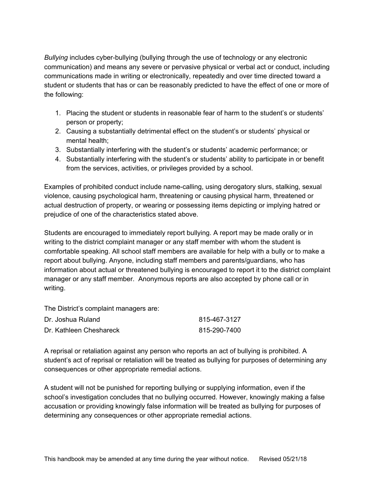*Bullying* includes cyber-bullying (bullying through the use of technology or any electronic communication) and means any severe or pervasive physical or verbal act or conduct, including communications made in writing or electronically, repeatedly and over time directed toward a student or students that has or can be reasonably predicted to have the effect of one or more of the following:

- 1. Placing the student or students in reasonable fear of harm to the student's or students' person or property;
- 2. Causing a substantially detrimental effect on the student's or students' physical or mental health;
- 3. Substantially interfering with the student's or students' academic performance; or
- 4. Substantially interfering with the student's or students' ability to participate in or benefit from the services, activities, or privileges provided by a school.

Examples of prohibited conduct include name-calling, using derogatory slurs, stalking, sexual violence, causing psychological harm, threatening or causing physical harm, threatened or actual destruction of property, or wearing or possessing items depicting or implying hatred or prejudice of one of the characteristics stated above.

Students are encouraged to immediately report bullying. A report may be made orally or in writing to the district complaint manager or any staff member with whom the student is comfortable speaking. All school staff members are available for help with a bully or to make a report about bullying. Anyone, including staff members and parents/guardians, who has information about actual or threatened bullying is encouraged to report it to the district complaint manager or any staff member. Anonymous reports are also accepted by phone call or in writing.

The District's complaint managers are:

| Dr. Joshua Ruland       | 815-467-3127 |
|-------------------------|--------------|
| Dr. Kathleen Cheshareck | 815-290-7400 |

A reprisal or retaliation against any person who reports an act of bullying is prohibited. A student's act of reprisal or retaliation will be treated as bullying for purposes of determining any consequences or other appropriate remedial actions.

A student will not be punished for reporting bullying or supplying information, even if the school's investigation concludes that no bullying occurred. However, knowingly making a false accusation or providing knowingly false information will be treated as bullying for purposes of determining any consequences or other appropriate remedial actions.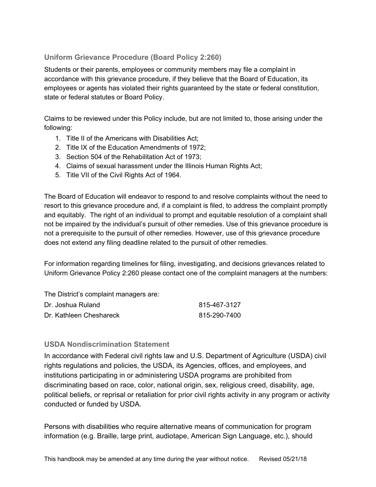### <span id="page-46-0"></span>**Uniform Grievance Procedure (Board Policy 2:260)**

Students or their parents, employees or community members may file a complaint in accordance with this grievance procedure, if they believe that the Board of Education, its employees or agents has violated their rights guaranteed by the state or federal constitution, state or federal statutes or Board Policy.

Claims to be reviewed under this Policy include, but are not limited to, those arising under the following:

- 1. Title II of the Americans with Disabilities Act;
- 2. Title IX of the Education Amendments of 1972;
- 3. Section 504 of the Rehabilitation Act of 1973;
- 4. Claims of sexual harassment under the Illinois Human Rights Act;
- 5. Title VII of the Civil Rights Act of 1964.

The Board of Education will endeavor to respond to and resolve complaints without the need to resort to this grievance procedure and, if a complaint is filed, to address the complaint promptly and equitably. The right of an individual to prompt and equitable resolution of a complaint shall not be impaired by the individual's pursuit of other remedies. Use of this grievance procedure is not a prerequisite to the pursuit of other remedies. However, use of this grievance procedure does not extend any filing deadline related to the pursuit of other remedies.

For information regarding timelines for filing, investigating, and decisions grievances related to Uniform Grievance Policy 2:260 please contact one of the complaint managers at the numbers:

The District's complaint managers are:

| Dr. Joshua Ruland       | 815-467-3127 |
|-------------------------|--------------|
| Dr. Kathleen Cheshareck | 815-290-7400 |

#### <span id="page-46-1"></span>**USDA Nondiscrimination Statement**

In accordance with Federal civil rights law and U.S. Department of Agriculture (USDA) civil rights regulations and policies, the USDA, its Agencies, offices, and employees, and institutions participating in or administering USDA programs are prohibited from discriminating based on race, color, national origin, sex, religious creed, disability, age, political beliefs, or reprisal or retaliation for prior civil rights activity in any program or activity conducted or funded by USDA.

Persons with disabilities who require alternative means of communication for program information (e.g. Braille, large print, audiotape, American Sign Language, etc.), should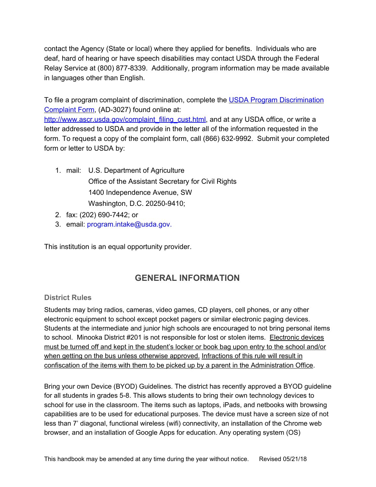contact the Agency (State or local) where they applied for benefits. Individuals who are deaf, hard of hearing or have speech disabilities may contact USDA through the Federal Relay Service at (800) 877-8339. Additionally, program information may be made available in languages other than English.

To file a program complaint of discrimination, complete the [U](http://www.ocio.usda.gov/sites/default/files/docs/2012/Complain_combined_6_8_12.pdf)SDA Program [Discrimination](http://www.ocio.usda.gov/sites/default/files/docs/2012/Complain_combined_6_8_12.pdf) [Complaint](http://www.ocio.usda.gov/sites/default/files/docs/2012/Complain_combined_6_8_12.pdf) Form, (AD-3027) found online at:

[http://www.ascr.usda.gov/complaint\\_filing\\_cust.html](http://www.ascr.usda.gov/complaint_filing_cust.html), and at any USDA office, or write a letter addressed to USDA and provide in the letter all of the information requested in the form. To request a copy of the complaint form, call (866) 632-9992. Submit your completed form or letter to USDA by:

- 1. mail: U.S. Department of Agriculture Office of the Assistant Secretary for Civil Rights 1400 Independence Avenue, SW Washington, D.C. 20250-9410;
- 2. fax: (202) 690-7442; or
- 3. email: program.intake@usda.gov.

<span id="page-47-0"></span>This institution is an equal opportunity provider.

# **GENERAL INFORMATION**

#### <span id="page-47-1"></span>**District Rules**

Students may bring radios, cameras, video games, CD players, cell phones, or any other electronic equipment to school except pocket pagers or similar electronic paging devices. Students at the intermediate and junior high schools are encouraged to not bring personal items to school. Minooka District #201 is not responsible for lost or stolen items. Electronic devices must be turned off and kept in the student's locker or book bag upon entry to the school and/or when getting on the bus unless otherwise approved. Infractions of this rule will result in confiscation of the items with them to be picked up by a parent in the Administration Office.

Bring your own Device (BYOD) Guidelines. The district has recently approved a BYOD guideline for all students in grades 5-8. This allows students to bring their own technology devices to school for use in the classroom. The items such as laptops, iPads, and netbooks with browsing capabilities are to be used for educational purposes. The device must have a screen size of not less than 7' diagonal, functional wireless (wifi) connectivity, an installation of the Chrome web browser, and an installation of Google Apps for education. Any operating system (OS)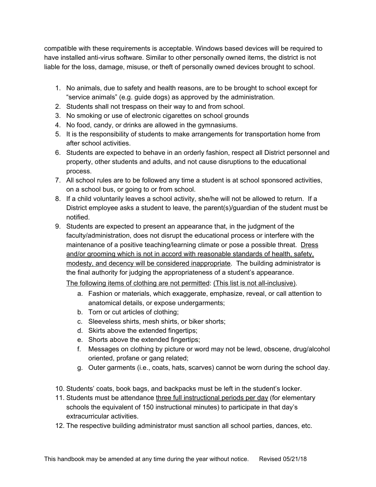compatible with these requirements is acceptable. Windows based devices will be required to have installed anti-virus software. Similar to other personally owned items, the district is not liable for the loss, damage, misuse, or theft of personally owned devices brought to school.

- 1. No animals, due to safety and health reasons, are to be brought to school except for "service animals" (e.g. guide dogs) as approved by the administration.
- 2. Students shall not trespass on their way to and from school.
- 3. No smoking or use of electronic cigarettes on school grounds
- 4. No food, candy, or drinks are allowed in the gymnasiums.
- 5. It is the responsibility of students to make arrangements for transportation home from after school activities.
- 6. Students are expected to behave in an orderly fashion, respect all District personnel and property, other students and adults, and not cause disruptions to the educational process.
- 7. All school rules are to be followed any time a student is at school sponsored activities, on a school bus, or going to or from school.
- 8. If a child voluntarily leaves a school activity, she/he will not be allowed to return. If a District employee asks a student to leave, the parent(s)/guardian of the student must be notified.
- 9. Students are expected to present an appearance that, in the judgment of the faculty/administration, does not disrupt the educational process or interfere with the maintenance of a positive teaching/learning climate or pose a possible threat. Dress and/or grooming which is not in accord with reasonable standards of health, safety, modesty, and decency will be considered inappropriate. The building administrator is the final authority for judging the appropriateness of a student's appearance.

The following items of clothing are not permitted: (This list is not all-inclusive).

- a. Fashion or materials, which exaggerate, emphasize, reveal, or call attention to anatomical details, or expose undergarments;
- b. Torn or cut articles of clothing;
- c. Sleeveless shirts, mesh shirts, or biker shorts;
- d. Skirts above the extended fingertips;
- e. Shorts above the extended fingertips;
- f. Messages on clothing by picture or word may not be lewd, obscene, drug/alcohol oriented, profane or gang related;
- g. Outer garments (i.e., coats, hats, scarves) cannot be worn during the school day.
- 10. Students' coats, book bags, and backpacks must be left in the student's locker.
- 11. Students must be attendance three full instructional periods per day (for elementary schools the equivalent of 150 instructional minutes) to participate in that day's extracurricular activities.
- 12. The respective building administrator must sanction all school parties, dances, etc.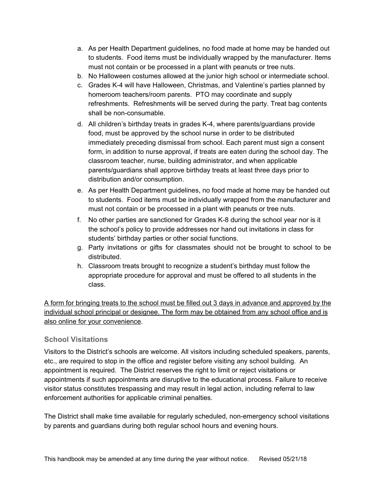- a. As per Health Department guidelines, no food made at home may be handed out to students. Food items must be individually wrapped by the manufacturer. Items must not contain or be processed in a plant with peanuts or tree nuts.
- b. No Halloween costumes allowed at the junior high school or intermediate school.
- c. Grades K-4 will have Halloween, Christmas, and Valentine's parties planned by homeroom teachers/room parents. PTO may coordinate and supply refreshments. Refreshments will be served during the party. Treat bag contents shall be non-consumable.
- d. All children's birthday treats in grades K-4, where parents/guardians provide food, must be approved by the school nurse in order to be distributed immediately preceding dismissal from school. Each parent must sign a consent form, in addition to nurse approval, if treats are eaten during the school day. The classroom teacher, nurse, building administrator, and when applicable parents/guardians shall approve birthday treats at least three days prior to distribution and/or consumption.
- e. As per Health Department guidelines, no food made at home may be handed out to students. Food items must be individually wrapped from the manufacturer and must not contain or be processed in a plant with peanuts or tree nuts.
- f. No other parties are sanctioned for Grades K-8 during the school year nor is it the school's policy to provide addresses nor hand out invitations in class for students' birthday parties or other social functions.
- g. Party invitations or gifts for classmates should not be brought to school to be distributed.
- h. Classroom treats brought to recognize a student's birthday must follow the appropriate procedure for approval and must be offered to all students in the class.

A form for bringing treats to the school must be filled out 3 days in advance and approved by the individual school principal or designee. The form may be obtained from any school office and is also online for your convenience.

#### <span id="page-49-0"></span>**School Visitations**

Visitors to the District's schools are welcome. All visitors including scheduled speakers, parents, etc., are required to stop in the office and register before visiting any school building. An appointment is required. The District reserves the right to limit or reject visitations or appointments if such appointments are disruptive to the educational process. Failure to receive visitor status constitutes trespassing and may result in legal action, including referral to law enforcement authorities for applicable criminal penalties.

The District shall make time available for regularly scheduled, non-emergency school visitations by parents and guardians during both regular school hours and evening hours.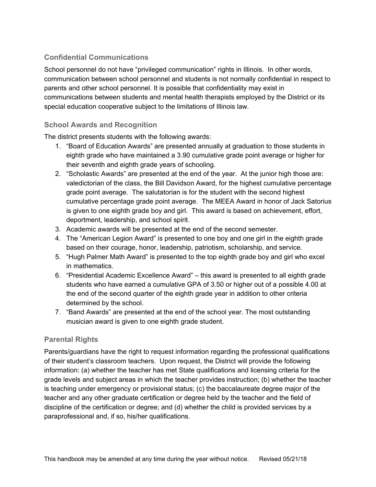### <span id="page-50-0"></span>**Confidential Communications**

School personnel do not have "privileged communication" rights in Illinois. In other words, communication between school personnel and students is not normally confidential in respect to parents and other school personnel. It is possible that confidentiality may exist in communications between students and mental health therapists employed by the District or its special education cooperative subject to the limitations of Illinois law.

#### <span id="page-50-1"></span>**School Awards and Recognition**

The district presents students with the following awards:

- 1. "Board of Education Awards" are presented annually at graduation to those students in eighth grade who have maintained a 3.90 cumulative grade point average or higher for their seventh and eighth grade years of schooling.
- 2. "Scholastic Awards" are presented at the end of the year. At the junior high those are: valedictorian of the class, the Bill Davidson Award, for the highest cumulative percentage grade point average. The salutatorian is for the student with the second highest cumulative percentage grade point average. The MEEA Award in honor of Jack Satorius is given to one eighth grade boy and girl. This award is based on achievement, effort, deportment, leadership, and school spirit.
- 3. Academic awards will be presented at the end of the second semester.
- 4. The "American Legion Award" is presented to one boy and one girl in the eighth grade based on their courage, honor, leadership, patriotism, scholarship, and service.
- 5. "Hugh Palmer Math Award" is presented to the top eighth grade boy and girl who excel in mathematics.
- 6. "Presidential Academic Excellence Award" this award is presented to all eighth grade students who have earned a cumulative GPA of 3.50 or higher out of a possible 4.00 at the end of the second quarter of the eighth grade year in addition to other criteria determined by the school.
- 7. "Band Awards" are presented at the end of the school year. The most outstanding musician award is given to one eighth grade student.

#### <span id="page-50-2"></span>**Parental Rights**

Parents/guardians have the right to request information regarding the professional qualifications of their student's classroom teachers. Upon request, the District will provide the following information: (a) whether the teacher has met State qualifications and licensing criteria for the grade levels and subject areas in which the teacher provides instruction; (b) whether the teacher is teaching under emergency or provisional status; (c) the baccalaureate degree major of the teacher and any other graduate certification or degree held by the teacher and the field of discipline of the certification or degree; and (d) whether the child is provided services by a paraprofessional and, if so, his/her qualifications.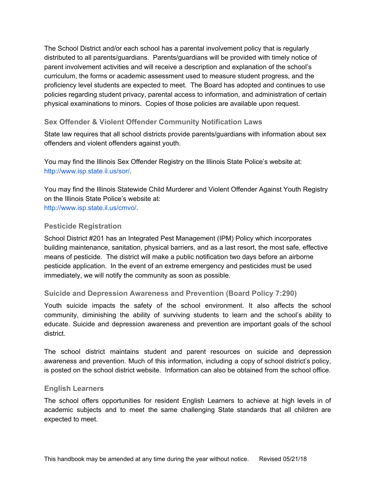The School District and/or each school has a parental involvement policy that is regularly distributed to all parents/guardians. Parents/guardians will be provided with timely notice of parent involvement activities and will receive a description and explanation of the school's curriculum, the forms or academic assessment used to measure student progress, and the proficiency level students are expected to meet. The Board has adopted and continues to use policies regarding student privacy, parental access to information, and administration of certain physical examinations to minors. Copies of those policies are available upon request.

#### <span id="page-51-0"></span>**Sex Offender & Violent Offender Community Notification Laws**

State law requires that all school districts provide parents/guardians with information about sex offenders and violent offenders against youth.

You may find the Illinois Sex Offender Registry on the Illinois State Police's website at: [http://www.isp.state.il.us/sor/.](http://www.isp.state.il.us/sor/)

You may find the Illinois Statewide Child Murderer and Violent Offender Against Youth Registry on the Illinois State Police's website at: <http://www.isp.state.il.us/cmvo/>.

#### <span id="page-51-1"></span>**Pesticide Registration**

School District #201 has an Integrated Pest Management (IPM) Policy which incorporates building maintenance, sanitation, physical barriers, and as a last resort, the most safe, effective means of pesticide. The district will make a public notification two days before an airborne pesticide application. In the event of an extreme emergency and pesticides must be used immediately, we will notify the community as soon as possible.

#### <span id="page-51-2"></span>**Suicide and Depression Awareness and Prevention (Board Policy 7:290)**

Youth suicide impacts the safety of the school environment. It also affects the school community, diminishing the ability of surviving students to learn and the school's ability to educate. Suicide and depression awareness and prevention are important goals of the school district.

The school district maintains student and parent resources on suicide and depression awareness and prevention. Much of this information, including a copy of school district's policy, is posted on the school district website. Information can also be obtained from the school office.

#### <span id="page-51-3"></span>**English Learners**

The school offers opportunities for resident English Learners to achieve at high levels in of academic subjects and to meet the same challenging State standards that all children are expected to meet.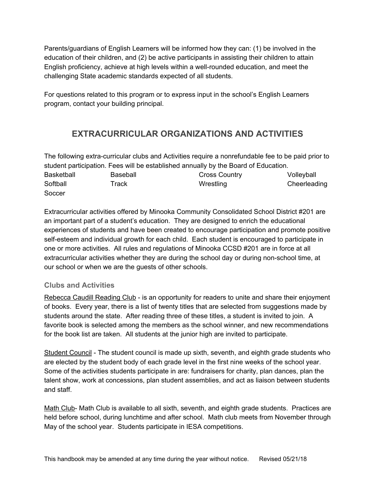Parents/guardians of English Learners will be informed how they can: (1) be involved in the education of their children, and (2) be active participants in assisting their children to attain English proficiency, achieve at high levels within a well-rounded education, and meet the challenging State academic standards expected of all students.

<span id="page-52-0"></span>For questions related to this program or to express input in the school's English Learners program, contact your building principal.

# **EXTRACURRICULAR ORGANIZATIONS AND ACTIVITIES**

The following extra-curricular clubs and Activities require a nonrefundable fee to be paid prior to student participation. Fees will be established annually by the Board of Education. Basketball Baseball Baseball Cross Country Volleyball Softball Track Track Wrestling Cheerleading **Soccer** 

Extracurricular activities offered by Minooka Community Consolidated School District #201 are an important part of a student's education. They are designed to enrich the educational experiences of students and have been created to encourage participation and promote positive self-esteem and individual growth for each child. Each student is encouraged to participate in one or more activities. All rules and regulations of Minooka CCSD #201 are in force at all extracurricular activities whether they are during the school day or during non-school time, at our school or when we are the guests of other schools.

#### <span id="page-52-1"></span>**Clubs and Activities**

Rebecca Caudill Reading Club - is an opportunity for readers to unite and share their enjoyment of books. Every year, there is a list of twenty titles that are selected from suggestions made by students around the state. After reading three of these titles, a student is invited to join. A favorite book is selected among the members as the school winner, and new recommendations for the book list are taken. All students at the junior high are invited to participate.

Student Council - The student council is made up sixth, seventh, and eighth grade students who are elected by the student body of each grade level in the first nine weeks of the school year. Some of the activities students participate in are: fundraisers for charity, plan dances, plan the talent show, work at concessions, plan student assemblies, and act as liaison between students and staff.

Math Club- Math Club is available to all sixth, seventh, and eighth grade students. Practices are held before school, during lunchtime and after school. Math club meets from November through May of the school year. Students participate in IESA competitions.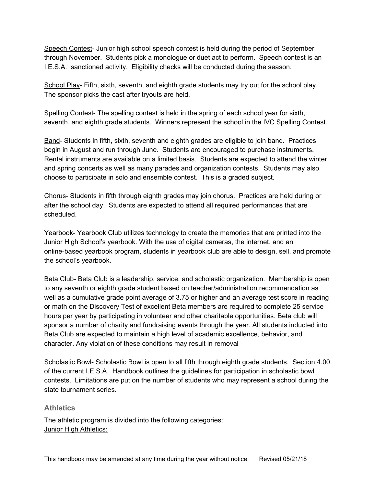Speech Contest- Junior high school speech contest is held during the period of September through November. Students pick a monologue or duet act to perform. Speech contest is an I.E.S.A. sanctioned activity. Eligibility checks will be conducted during the season.

School Play- Fifth, sixth, seventh, and eighth grade students may try out for the school play. The sponsor picks the cast after tryouts are held.

Spelling Contest- The spelling contest is held in the spring of each school year for sixth, seventh, and eighth grade students. Winners represent the school in the IVC Spelling Contest.

Band- Students in fifth, sixth, seventh and eighth grades are eligible to join band. Practices begin in August and run through June. Students are encouraged to purchase instruments. Rental instruments are available on a limited basis. Students are expected to attend the winter and spring concerts as well as many parades and organization contests. Students may also choose to participate in solo and ensemble contest. This is a graded subject.

Chorus- Students in fifth through eighth grades may join chorus. Practices are held during or after the school day. Students are expected to attend all required performances that are scheduled.

Yearbook- Yearbook Club utilizes technology to create the memories that are printed into the Junior High School's yearbook. With the use of digital cameras, the internet, and an online-based yearbook program, students in yearbook club are able to design, sell, and promote the school's yearbook.

Beta Club- Beta Club is a leadership, service, and scholastic organization. Membership is open to any seventh or eighth grade student based on teacher/administration recommendation as well as a cumulative grade point average of 3.75 or higher and an average test score in reading or math on the Discovery Test of excellent Beta members are required to complete 25 service hours per year by participating in volunteer and other charitable opportunities. Beta club will sponsor a number of charity and fundraising events through the year. All students inducted into Beta Club are expected to maintain a high level of academic excellence, behavior, and character. Any violation of these conditions may result in removal

Scholastic Bowl- Scholastic Bowl is open to all fifth through eighth grade students. Section 4.00 of the current I.E.S.A. Handbook outlines the guidelines for participation in scholastic bowl contests. Limitations are put on the number of students who may represent a school during the state tournament series.

#### <span id="page-53-0"></span>**Athletics**

The athletic program is divided into the following categories: **Junior High Athletics:**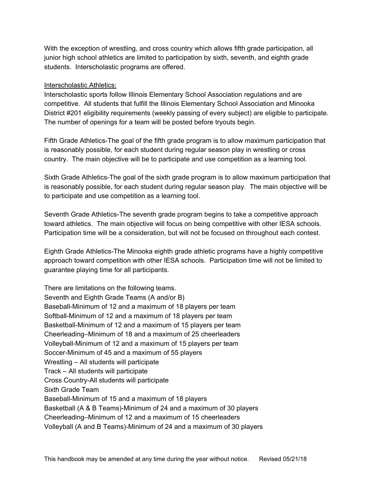With the exception of wrestling, and cross country which allows fifth grade participation, all junior high school athletics are limited to participation by sixth, seventh, and eighth grade students. Interscholastic programs are offered.

#### Interscholastic Athletics:

Interscholastic sports follow Illinois Elementary School Association regulations and are competitive. All students that fulfill the Illinois Elementary School Association and Minooka District #201 eligibility requirements (weekly passing of every subject) are eligible to participate. The number of openings for a team will be posted before tryouts begin.

Fifth Grade Athletics-The goal of the fifth grade program is to allow maximum participation that is reasonably possible, for each student during regular season play in wrestling or cross country. The main objective will be to participate and use competition as a learning tool.

Sixth Grade Athletics-The goal of the sixth grade program is to allow maximum participation that is reasonably possible, for each student during regular season play. The main objective will be to participate and use competition as a learning tool.

Seventh Grade Athletics-The seventh grade program begins to take a competitive approach toward athletics. The main objective will focus on being competitive with other IESA schools. Participation time will be a consideration, but will not be focused on throughout each contest.

Eighth Grade Athletics-The Minooka eighth grade athletic programs have a highly competitive approach toward competition with other IESA schools. Participation time will not be limited to guarantee playing time for all participants.

There are limitations on the following teams. Seventh and Eighth Grade Teams (A and/or B) Baseball-Minimum of 12 and a maximum of 18 players per team Softball-Minimum of 12 and a maximum of 18 players per team Basketball-Minimum of 12 and a maximum of 15 players per team Cheerleading–Minimum of 18 and a maximum of 25 cheerleaders Volleyball-Minimum of 12 and a maximum of 15 players per team Soccer-Minimum of 45 and a maximum of 55 players Wrestling – All students will participate Track – All students will participate Cross Country-All students will participate Sixth Grade Team Baseball-Minimum of 15 and a maximum of 18 players Basketball (A & B Teams)-Minimum of 24 and a maximum of 30 players Cheerleading–Minimum of 12 and a maximum of 15 cheerleaders Volleyball (A and B Teams)-Minimum of 24 and a maximum of 30 players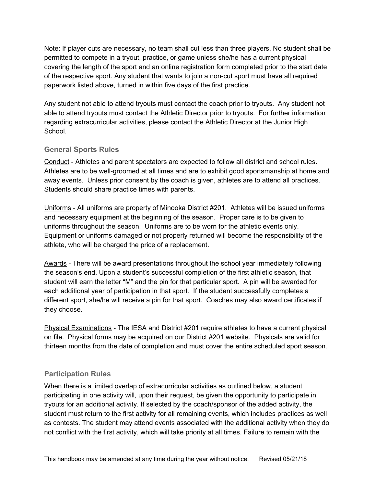Note: If player cuts are necessary, no team shall cut less than three players. No student shall be permitted to compete in a tryout, practice, or game unless she/he has a current physical covering the length of the sport and an online registration form completed prior to the start date of the respective sport. Any student that wants to join a non-cut sport must have all required paperwork listed above, turned in within five days of the first practice.

Any student not able to attend tryouts must contact the coach prior to tryouts. Any student not able to attend tryouts must contact the Athletic Director prior to tryouts. For further information regarding extracurricular activities, please contact the Athletic Director at the Junior High School.

#### <span id="page-55-0"></span>**General Sports Rules**

Conduct - Athletes and parent spectators are expected to follow all district and school rules. Athletes are to be well-groomed at all times and are to exhibit good sportsmanship at home and away events. Unless prior consent by the coach is given, athletes are to attend all practices. Students should share practice times with parents.

Uniforms - All uniforms are property of Minooka District #201. Athletes will be issued uniforms and necessary equipment at the beginning of the season. Proper care is to be given to uniforms throughout the season. Uniforms are to be worn for the athletic events only. Equipment or uniforms damaged or not properly returned will become the responsibility of the athlete, who will be charged the price of a replacement.

Awards - There will be award presentations throughout the school year immediately following the season's end. Upon a student's successful completion of the first athletic season, that student will earn the letter "M" and the pin for that particular sport. A pin will be awarded for each additional year of participation in that sport. If the student successfully completes a different sport, she/he will receive a pin for that sport. Coaches may also award certificates if they choose.

Physical Examinations - The IESA and District #201 require athletes to have a current physical on file. Physical forms may be acquired on our District #201 website. Physicals are valid for thirteen months from the date of completion and must cover the entire scheduled sport season.

#### <span id="page-55-1"></span>**Participation Rules**

When there is a limited overlap of extracurricular activities as outlined below, a student participating in one activity will, upon their request, be given the opportunity to participate in tryouts for an additional activity. If selected by the coach/sponsor of the added activity, the student must return to the first activity for all remaining events, which includes practices as well as contests. The student may attend events associated with the additional activity when they do not conflict with the first activity, which will take priority at all times. Failure to remain with the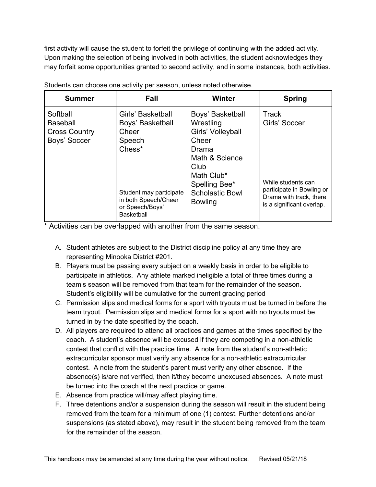first activity will cause the student to forfeit the privilege of continuing with the added activity. Upon making the selection of being involved in both activities, the student acknowledges they may forfeit some opportunities granted to second activity, and in some instances, both activities.

| <b>Summer</b>                                                       | Fall                                                                                                                                                          | <b>Winter</b>                                                                                                                                                             | <b>Spring</b>                                                                                                                            |
|---------------------------------------------------------------------|---------------------------------------------------------------------------------------------------------------------------------------------------------------|---------------------------------------------------------------------------------------------------------------------------------------------------------------------------|------------------------------------------------------------------------------------------------------------------------------------------|
| Softball<br><b>Baseball</b><br><b>Cross Country</b><br>Boys' Soccer | Girls' Basketball<br>Boys' Basketball<br>Cheer<br>Speech<br>Chess*<br>Student may participate<br>in both Speech/Cheer<br>or Speech/Boys'<br><b>Basketball</b> | Boys' Basketball<br>Wrestling<br>Girls' Volleyball<br>Cheer<br>Drama<br>Math & Science<br>Club<br>Math Club*<br>Spelling Bee*<br><b>Scholastic Bowl</b><br><b>Bowling</b> | <b>Track</b><br>Girls' Soccer<br>While students can<br>participate in Bowling or<br>Drama with track, there<br>is a significant overlap. |

Students can choose one activity per season, unless noted otherwise.

\* Activities can be overlapped with another from the same season.

- A. Student athletes are subject to the District discipline policy at any time they are representing Minooka District #201.
- B. Players must be passing every subject on a weekly basis in order to be eligible to participate in athletics. Any athlete marked ineligible a total of three times during a team's season will be removed from that team for the remainder of the season. Student's eligibility will be cumulative for the current grading period
- C. Permission slips and medical forms for a sport with tryouts must be turned in before the team tryout. Permission slips and medical forms for a sport with no tryouts must be turned in by the date specified by the coach.
- D. All players are required to attend all practices and games at the times specified by the coach. A student's absence will be excused if they are competing in a non-athletic contest that conflict with the practice time. A note from the student's non-athletic extracurricular sponsor must verify any absence for a non-athletic extracurricular contest. A note from the student's parent must verify any other absence. If the absence(s) is/are not verified, then it/they become unexcused absences. A note must be turned into the coach at the next practice or game.
- E. Absence from practice will/may affect playing time.
- F. Three detentions and/or a suspension during the season will result in the student being removed from the team for a minimum of one (1) contest. Further detentions and/or suspensions (as stated above), may result in the student being removed from the team for the remainder of the season.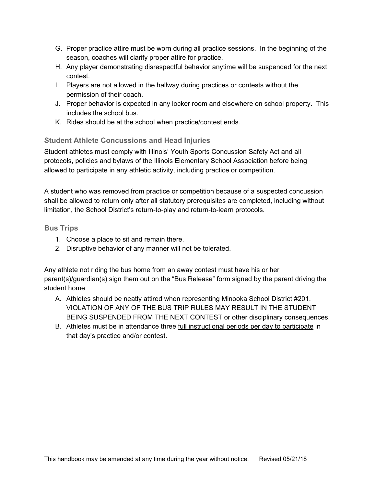- G. Proper practice attire must be worn during all practice sessions. In the beginning of the season, coaches will clarify proper attire for practice.
- H. Any player demonstrating disrespectful behavior anytime will be suspended for the next contest.
- I. Players are not allowed in the hallway during practices or contests without the permission of their coach.
- J. Proper behavior is expected in any locker room and elsewhere on school property. This includes the school bus.
- K. Rides should be at the school when practice/contest ends.

#### <span id="page-57-0"></span>**Student Athlete Concussions and Head Injuries**

Student athletes must comply with Illinois' Youth Sports Concussion Safety Act and all protocols, policies and bylaws of the Illinois Elementary School Association before being allowed to participate in any athletic activity, including practice or competition.

A student who was removed from practice or competition because of a suspected concussion shall be allowed to return only after all statutory prerequisites are completed, including without limitation, the School District's return-to-play and return-to-learn protocols.

#### <span id="page-57-1"></span>**Bus Trips**

- 1. Choose a place to sit and remain there.
- 2. Disruptive behavior of any manner will not be tolerated.

Any athlete not riding the bus home from an away contest must have his or her parent(s)/guardian(s) sign them out on the "Bus Release" form signed by the parent driving the student home

- A. Athletes should be neatly attired when representing Minooka School District #201. VIOLATION OF ANY OF THE BUS TRIP RULES MAY RESULT IN THE STUDENT BEING SUSPENDED FROM THE NEXT CONTEST or other disciplinary consequences.
- B. Athletes must be in attendance three full instructional periods per day to participate in that day's practice and/or contest.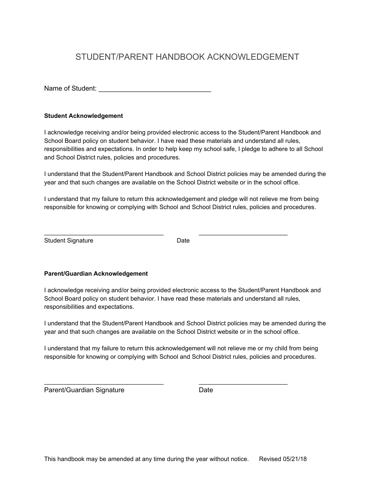# <span id="page-58-0"></span>STUDENT/PARENT HANDBOOK ACKNOWLEDGEMENT

Name of Student:  $\blacksquare$ 

#### **Student Acknowledgement**

I acknowledge receiving and/or being provided electronic access to the Student/Parent Handbook and School Board policy on student behavior. I have read these materials and understand all rules, responsibilities and expectations. In order to help keep my school safe, I pledge to adhere to all School and School District rules, policies and procedures.

I understand that the Student/Parent Handbook and School District policies may be amended during the year and that such changes are available on the School District website or in the school office.

I understand that my failure to return this acknowledgement and pledge will not relieve me from being responsible for knowing or complying with School and School District rules, policies and procedures.

Student Signature Date

\_\_\_\_\_\_\_\_\_\_\_\_\_\_\_\_\_\_\_\_\_\_\_\_\_\_\_\_\_\_\_\_\_\_\_ \_\_\_\_\_\_\_\_\_\_\_\_\_\_\_\_\_\_\_\_\_\_\_\_\_\_

#### **Parent/Guardian Acknowledgement**

I acknowledge receiving and/or being provided electronic access to the Student/Parent Handbook and School Board policy on student behavior. I have read these materials and understand all rules, responsibilities and expectations.

I understand that the Student/Parent Handbook and School District policies may be amended during the year and that such changes are available on the School District website or in the school office.

I understand that my failure to return this acknowledgement will not relieve me or my child from being responsible for knowing or complying with School and School District rules, policies and procedures.

\_\_\_\_\_\_\_\_\_\_\_\_\_\_\_\_\_\_\_\_\_\_\_\_\_\_\_\_\_\_\_\_\_\_\_ \_\_\_\_\_\_\_\_\_\_\_\_\_\_\_\_\_\_\_\_\_\_\_\_\_\_

Parent/Guardian Signature Date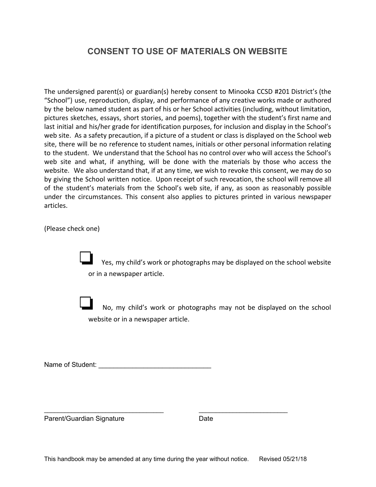# **CONSENT TO USE OF MATERIALS ON WEBSITE**

The undersigned parent(s) or guardian(s) hereby consent to Minooka CCSD #201 District's (the "School") use, reproduction, display, and performance of any creative works made or authored by the below named student as part of his or her School activities (including, without limitation, pictures sketches, essays, short stories, and poems), together with the student's first name and last initial and his/her grade for identification purposes, for inclusion and display in the School's web site. As a safety precaution, if a picture of a student or class is displayed on the School web site, there will be no reference to student names, initials or other personal information relating to the student. We understand that the School has no control over who will access the School's web site and what, if anything, will be done with the materials by those who access the website. We also understand that, if at any time, we wish to revoke this consent, we may do so by giving the School written notice. Upon receipt of such revocation, the school will remove all of the student's materials from the School's web site, if any, as soon as reasonably possible under the circumstances. This consent also applies to pictures printed in various newspaper articles.

(Please check one)

Yes, my child's work or photographs may be displayed on the school website or in a newspaper article.

❏ No, my child's work or photographs may not be displayed on the school website or in a newspaper article.

Name of Student: \_\_\_\_\_\_\_\_\_\_\_\_\_\_\_\_\_\_\_\_\_\_\_\_\_\_\_\_\_\_

Parent/Guardian Signature Date

\_\_\_\_\_\_\_\_\_\_\_\_\_\_\_\_\_\_\_\_\_\_\_\_\_\_\_\_\_\_\_\_\_\_\_ \_\_\_\_\_\_\_\_\_\_\_\_\_\_\_\_\_\_\_\_\_\_\_\_\_\_